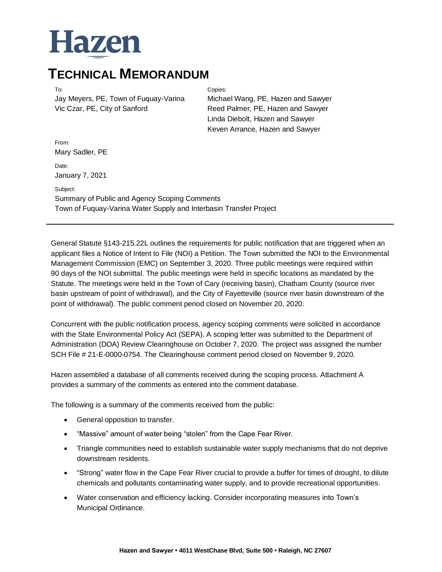# Hazen

### **TECHNICAL MEMORANDUM**

Jay Meyers, PE, Town of Fuquay-Varina Vic Czar, PE, City of Sanford

#### To: Copies:

Michael Wang, PE, Hazen and Sawyer Reed Palmer, PE, Hazen and Sawyer Linda Diebolt, Hazen and Sawyer Keven Arrance, Hazen and Sawyer

From: Mary Sadler, PE

Date: January 7, 2021

Subject: Summary of Public and Agency Scoping Comments Town of Fuquay-Varina Water Supply and Interbasin Transfer Project

General Statute §143-215.22L outlines the requirements for public notification that are triggered when an applicant files a Notice of Intent to File (NOI) a Petition. The Town submitted the NOI to the Environmental Management Commission (EMC) on September 3, 2020. Three public meetings were required within 90 days of the NOI submittal. The public meetings were held in specific locations as mandated by the Statute. The meetings were held in the Town of Cary (receiving basin), Chatham County (source river basin upstream of point of withdrawal), and the City of Fayetteville (source river basin downstream of the point of withdrawal). The public comment period closed on November 20, 2020.

Concurrent with the public notification process, agency scoping comments were solicited in accordance with the State Environmental Policy Act (SEPA). A scoping letter was submitted to the Department of Administration (DOA) Review Clearinghouse on October 7, 2020. The project was assigned the number SCH File # 21-E-0000-0754. The Clearinghouse comment period closed on November 9, 2020.

Hazen assembled a database of all comments received during the scoping process. Attachment A provides a summary of the comments as entered into the comment database.

The following is a summary of the comments received from the public:

- General opposition to transfer.
- "Massive" amount of water being "stolen" from the Cape Fear River.
- Triangle communities need to establish sustainable water supply mechanisms that do not deprive downstream residents.
- "Strong" water flow in the Cape Fear River crucial to provide a buffer for times of drought, to dilute chemicals and pollutants contaminating water supply, and to provide recreational opportunities.
- Water conservation and efficiency lacking. Consider incorporating measures into Town's Municipal Ordinance.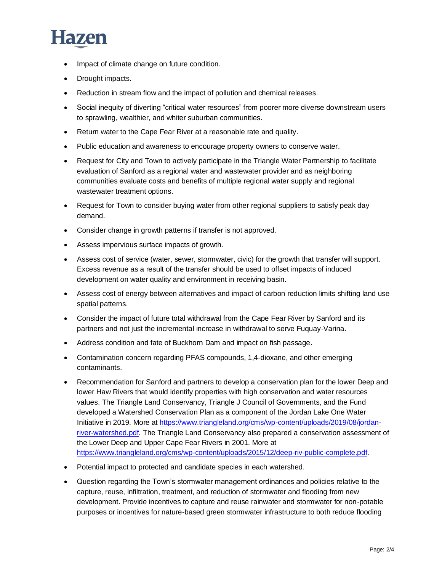

- Impact of climate change on future condition.
- Drought impacts.
- Reduction in stream flow and the impact of pollution and chemical releases.
- Social inequity of diverting "critical water resources" from poorer more diverse downstream users to sprawling, wealthier, and whiter suburban communities.
- Return water to the Cape Fear River at a reasonable rate and quality.
- Public education and awareness to encourage property owners to conserve water.
- Request for City and Town to actively participate in the Triangle Water Partnership to facilitate evaluation of Sanford as a regional water and wastewater provider and as neighboring communities evaluate costs and benefits of multiple regional water supply and regional wastewater treatment options.
- Request for Town to consider buying water from other regional suppliers to satisfy peak day demand.
- Consider change in growth patterns if transfer is not approved.
- Assess impervious surface impacts of growth.
- Assess cost of service (water, sewer, stormwater, civic) for the growth that transfer will support. Excess revenue as a result of the transfer should be used to offset impacts of induced development on water quality and environment in receiving basin.
- Assess cost of energy between alternatives and impact of carbon reduction limits shifting land use spatial patterns.
- Consider the impact of future total withdrawal from the Cape Fear River by Sanford and its partners and not just the incremental increase in withdrawal to serve Fuquay-Varina.
- Address condition and fate of Buckhorn Dam and impact on fish passage.
- Contamination concern regarding PFAS compounds, 1,4-dioxane, and other emerging contaminants.
- Recommendation for Sanford and partners to develop a conservation plan for the lower Deep and lower Haw Rivers that would identify properties with high conservation and water resources values. The Triangle Land Conservancy, Triangle J Council of Governments, and the Fund developed a Watershed Conservation Plan as a component of the Jordan Lake One Water Initiative in 2019. More at [https://www.triangleland.org/cms/wp-content/uploads/2019/08/jordan](https://www.triangleland.org/cms/wp-content/uploads/2019/08/jordan-river-watershed.pdf)[river-watershed.pdf.](https://www.triangleland.org/cms/wp-content/uploads/2019/08/jordan-river-watershed.pdf) The Triangle Land Conservancy also prepared a conservation assessment of the Lower Deep and Upper Cape Fear Rivers in 2001. More at [https://www.triangleland.org/cms/wp-content/uploads/2015/12/deep-riv-public-complete.pdf.](https://www.triangleland.org/cms/wp-content/uploads/2015/12/deep-riv-public-complete.pdf)
- Potential impact to protected and candidate species in each watershed.
- Question regarding the Town's stormwater management ordinances and policies relative to the capture, reuse, infiltration, treatment, and reduction of stormwater and flooding from new development. Provide incentives to capture and reuse rainwater and stormwater for non-potable purposes or incentives for nature-based green stormwater infrastructure to both reduce flooding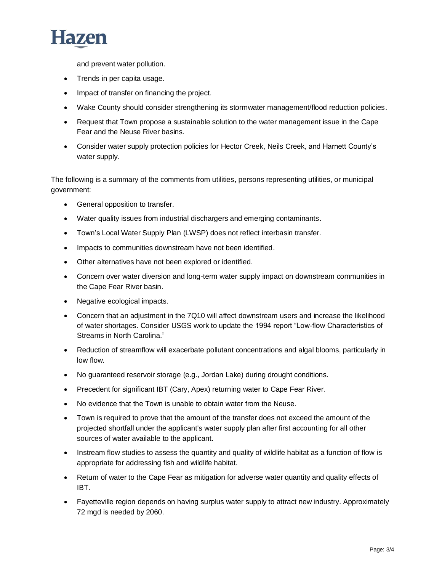

and prevent water pollution.

- Trends in per capita usage.
- Impact of transfer on financing the project.
- Wake County should consider strengthening its stormwater management/flood reduction policies.
- Request that Town propose a sustainable solution to the water management issue in the Cape Fear and the Neuse River basins.
- Consider water supply protection policies for Hector Creek, Neils Creek, and Harnett County's water supply.

The following is a summary of the comments from utilities, persons representing utilities, or municipal government:

- General opposition to transfer.
- Water quality issues from industrial dischargers and emerging contaminants.
- Town's Local Water Supply Plan (LWSP) does not reflect interbasin transfer.
- Impacts to communities downstream have not been identified.
- Other alternatives have not been explored or identified.
- Concern over water diversion and long-term water supply impact on downstream communities in the Cape Fear River basin.
- Negative ecological impacts.
- Concern that an adjustment in the 7Q10 will affect downstream users and increase the likelihood of water shortages. Consider USGS work to update the 1994 report "Low-flow Characteristics of Streams in North Carolina."
- Reduction of streamflow will exacerbate pollutant concentrations and algal blooms, particularly in low flow.
- No guaranteed reservoir storage (e.g., Jordan Lake) during drought conditions.
- Precedent for significant IBT (Cary, Apex) returning water to Cape Fear River.
- No evidence that the Town is unable to obtain water from the Neuse.
- Town is required to prove that the amount of the transfer does not exceed the amount of the projected shortfall under the applicant's water supply plan after first accounting for all other sources of water available to the applicant.
- Instream flow studies to assess the quantity and quality of wildlife habitat as a function of flow is appropriate for addressing fish and wildlife habitat.
- Return of water to the Cape Fear as mitigation for adverse water quantity and quality effects of IBT.
- Fayetteville region depends on having surplus water supply to attract new industry. Approximately 72 mgd is needed by 2060.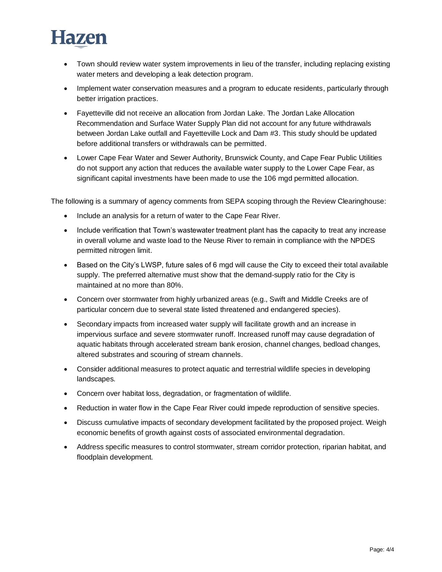# Hazen

- Town should review water system improvements in lieu of the transfer, including replacing existing water meters and developing a leak detection program.
- Implement water conservation measures and a program to educate residents, particularly through better irrigation practices.
- Fayetteville did not receive an allocation from Jordan Lake. The Jordan Lake Allocation Recommendation and Surface Water Supply Plan did not account for any future withdrawals between Jordan Lake outfall and Fayetteville Lock and Dam #3. This study should be updated before additional transfers or withdrawals can be permitted.
- Lower Cape Fear Water and Sewer Authority, Brunswick County, and Cape Fear Public Utilities do not support any action that reduces the available water supply to the Lower Cape Fear, as significant capital investments have been made to use the 106 mgd permitted allocation.

The following is a summary of agency comments from SEPA scoping through the Review Clearinghouse:

- Include an analysis for a return of water to the Cape Fear River.
- Include verification that Town's wastewater treatment plant has the capacity to treat any increase in overall volume and waste load to the Neuse River to remain in compliance with the NPDES permitted nitrogen limit.
- Based on the City's LWSP, future sales of 6 mgd will cause the City to exceed their total available supply. The preferred alternative must show that the demand-supply ratio for the City is maintained at no more than 80%.
- Concern over stormwater from highly urbanized areas (e.g., Swift and Middle Creeks are of particular concern due to several state listed threatened and endangered species).
- Secondary impacts from increased water supply will facilitate growth and an increase in impervious surface and severe stormwater runoff. Increased runoff may cause degradation of aquatic habitats through accelerated stream bank erosion, channel changes, bedload changes, altered substrates and scouring of stream channels.
- Consider additional measures to protect aquatic and terrestrial wildlife species in developing landscapes.
- Concern over habitat loss, degradation, or fragmentation of wildlife.
- Reduction in water flow in the Cape Fear River could impede reproduction of sensitive species.
- Discuss cumulative impacts of secondary development facilitated by the proposed project. Weigh economic benefits of growth against costs of associated environmental degradation.
- Address specific measures to control stormwater, stream corridor protection, riparian habitat, and floodplain development.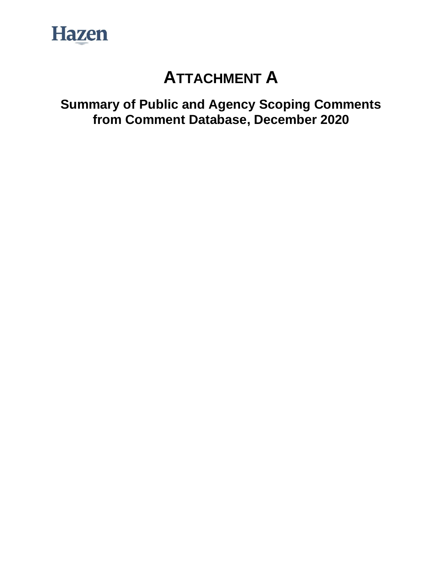

# **ATTACHMENT A**

**Summary of Public and Agency Scoping Comments from Comment Database, December 2020**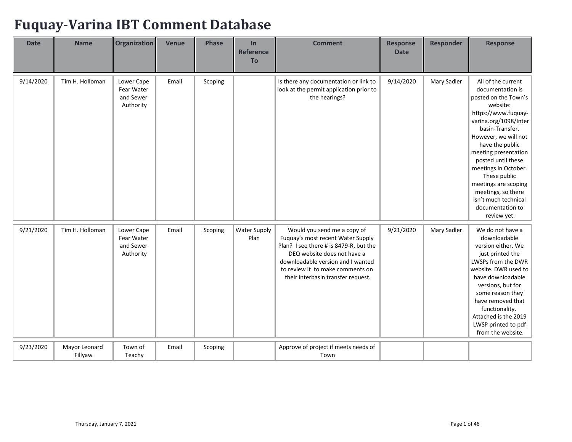## **Fuquay-Varina IBT Comment Database**

| <b>Date</b> | <b>Name</b>              | Organization                                       | <b>Venue</b> | <b>Phase</b> | In<br><b>Reference</b><br><b>To</b> | <b>Comment</b>                                                                                                                                                                                                                                           | <b>Response</b><br><b>Date</b> | <b>Responder</b> | <b>Response</b>                                                                                                                                                                                                                                                                                                                                                                         |
|-------------|--------------------------|----------------------------------------------------|--------------|--------------|-------------------------------------|----------------------------------------------------------------------------------------------------------------------------------------------------------------------------------------------------------------------------------------------------------|--------------------------------|------------------|-----------------------------------------------------------------------------------------------------------------------------------------------------------------------------------------------------------------------------------------------------------------------------------------------------------------------------------------------------------------------------------------|
| 9/14/2020   | Tim H. Holloman          | Lower Cape<br>Fear Water<br>and Sewer<br>Authority | Email        | Scoping      |                                     | Is there any documentation or link to<br>look at the permit application prior to<br>the hearings?                                                                                                                                                        | 9/14/2020                      | Mary Sadler      | All of the current<br>documentation is<br>posted on the Town's<br>website:<br>https://www.fuquay-<br>varina.org/1098/Inter<br>basin-Transfer.<br>However, we will not<br>have the public<br>meeting presentation<br>posted until these<br>meetings in October.<br>These public<br>meetings are scoping<br>meetings, so there<br>isn't much technical<br>documentation to<br>review yet. |
| 9/21/2020   | Tim H. Holloman          | Lower Cape<br>Fear Water<br>and Sewer<br>Authority | Email        | Scoping      | <b>Water Supply</b><br>Plan         | Would you send me a copy of<br>Fuquay's most recent Water Supply<br>Plan? I see there # is 8479-R, but the<br>DEQ website does not have a<br>downloadable version and I wanted<br>to review it to make comments on<br>their interbasin transfer request. | 9/21/2020                      | Mary Sadler      | We do not have a<br>downloadable<br>version either. We<br>just printed the<br>LWSPs from the DWR<br>website. DWR used to<br>have downloadable<br>versions, but for<br>some reason they<br>have removed that<br>functionality.<br>Attached is the 2019<br>LWSP printed to pdf<br>from the website.                                                                                       |
| 9/23/2020   | Mayor Leonard<br>Fillyaw | Town of<br>Teachy                                  | Email        | Scoping      |                                     | Approve of project if meets needs of<br>Town                                                                                                                                                                                                             |                                |                  |                                                                                                                                                                                                                                                                                                                                                                                         |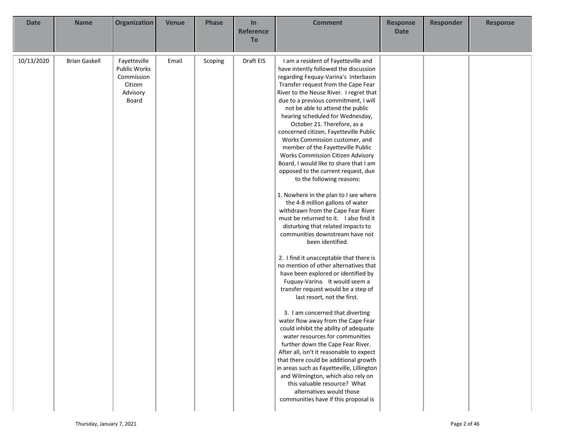| <b>Date</b> | <b>Name</b>          | <b>Organization</b>                                                        | <b>Venue</b> | <b>Phase</b> | In<br><b>Reference</b><br>To | <b>Comment</b>                                                                                                                                                                                                                                                                                                                                                                                                                                                                                                                                                                                                                                                                                                                                                                                                                                                                                                                                                                                                                                                                                                                                                                                                                                                                                                                                                                                                                                                                                                                                                                                | <b>Response</b><br><b>Date</b> | <b>Responder</b> | <b>Response</b> |
|-------------|----------------------|----------------------------------------------------------------------------|--------------|--------------|------------------------------|-----------------------------------------------------------------------------------------------------------------------------------------------------------------------------------------------------------------------------------------------------------------------------------------------------------------------------------------------------------------------------------------------------------------------------------------------------------------------------------------------------------------------------------------------------------------------------------------------------------------------------------------------------------------------------------------------------------------------------------------------------------------------------------------------------------------------------------------------------------------------------------------------------------------------------------------------------------------------------------------------------------------------------------------------------------------------------------------------------------------------------------------------------------------------------------------------------------------------------------------------------------------------------------------------------------------------------------------------------------------------------------------------------------------------------------------------------------------------------------------------------------------------------------------------------------------------------------------------|--------------------------------|------------------|-----------------|
| 10/13/2020  | <b>Brian Gaskell</b> | Fayetteville<br>Public Works<br>Commission<br>Citizen<br>Advisory<br>Board | Email        | Scoping      | Draft EIS                    | I am a resident of Fayetteville and<br>have intently followed the discussion<br>regarding Fequay-Varina's Interbasin<br>Transfer request from the Cape Fear<br>River to the Neuse River. I regret that<br>due to a previous commitment, I will<br>not be able to attend the public<br>hearing scheduled for Wednesday,<br>October 21. Therefore, as a<br>concerned citizen, Fayetteville Public<br>Works Commission customer, and<br>member of the Fayetteville Public<br>Works Commission Citizen Advisory<br>Board, I would like to share that I am<br>opposed to the current request, due<br>to the following reasons:<br>1. Nowhere in the plan to I see where<br>the 4-8 million gallons of water<br>withdrawn from the Cape Fear River<br>must be returned to it. I also find it<br>disturbing that related impacts to<br>communities downstream have not<br>been identified.<br>2. I find it unacceptable that there is<br>no mention of other alternatives that<br>have been explored or identified by<br>Fuquay-Varina. It would seem a<br>transfer request would be a step of<br>last resort, not the first.<br>3. I am concerned that diverting<br>water flow away from the Cape Fear<br>could inhibit the ability of adequate<br>water resources for communities<br>further down the Cape Fear River.<br>After all, isn't it reasonable to expect<br>that there could be additional growth<br>in areas such as Fayetteville, Lillington<br>and Wilmington, which also rely on<br>this valuable resource? What<br>alternatives would those<br>communities have if this proposal is |                                |                  |                 |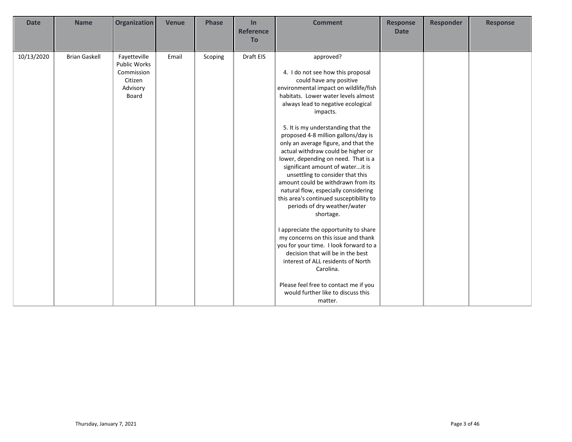| <b>Date</b> | <b>Name</b>          | <b>Organization</b>                                                               | <b>Venue</b> | <b>Phase</b> | In<br><b>Reference</b><br><b>To</b> | <b>Comment</b>                                                                                                                                                                                                                                                                                                                                                                                                                                                                                                                                                                                                                                                                                                                                                                                                                                                   | <b>Response</b><br><b>Date</b> | <b>Responder</b> | <b>Response</b> |
|-------------|----------------------|-----------------------------------------------------------------------------------|--------------|--------------|-------------------------------------|------------------------------------------------------------------------------------------------------------------------------------------------------------------------------------------------------------------------------------------------------------------------------------------------------------------------------------------------------------------------------------------------------------------------------------------------------------------------------------------------------------------------------------------------------------------------------------------------------------------------------------------------------------------------------------------------------------------------------------------------------------------------------------------------------------------------------------------------------------------|--------------------------------|------------------|-----------------|
| 10/13/2020  | <b>Brian Gaskell</b> | Fayetteville<br><b>Public Works</b><br>Commission<br>Citizen<br>Advisory<br>Board | Email        | Scoping      | Draft EIS                           | approved?<br>4. I do not see how this proposal<br>could have any positive<br>environmental impact on wildlife/fish<br>habitats. Lower water levels almost<br>always lead to negative ecological<br>impacts.<br>5. It is my understanding that the<br>proposed 4-8 million gallons/day is<br>only an average figure, and that the<br>actual withdraw could be higher or<br>lower, depending on need. That is a<br>significant amount of waterit is<br>unsettling to consider that this<br>amount could be withdrawn from its<br>natural flow, especially considering<br>this area's continued susceptibility to<br>periods of dry weather/water<br>shortage.<br>I appreciate the opportunity to share<br>my concerns on this issue and thank<br>you for your time. I look forward to a<br>decision that will be in the best<br>interest of ALL residents of North |                                |                  |                 |
|             |                      |                                                                                   |              |              |                                     | Carolina.<br>Please feel free to contact me if you<br>would further like to discuss this<br>matter.                                                                                                                                                                                                                                                                                                                                                                                                                                                                                                                                                                                                                                                                                                                                                              |                                |                  |                 |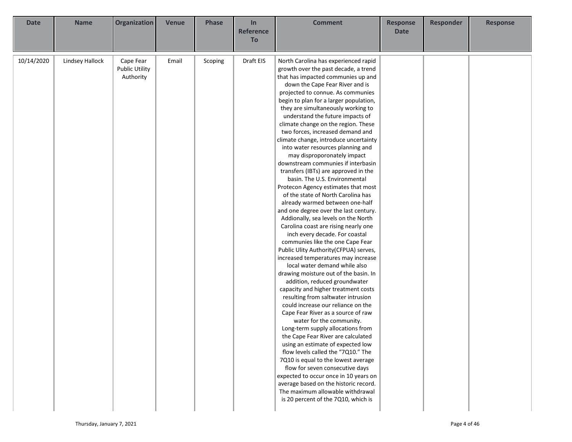| <b>Date</b> | <b>Name</b>     | Organization                       | <b>Venue</b> | <b>Phase</b> | In                            | <b>Comment</b>                                                             | <b>Response</b> | Responder | <b>Response</b> |
|-------------|-----------------|------------------------------------|--------------|--------------|-------------------------------|----------------------------------------------------------------------------|-----------------|-----------|-----------------|
|             |                 |                                    |              |              | <b>Reference</b><br><b>To</b> |                                                                            | <b>Date</b>     |           |                 |
|             |                 |                                    |              |              |                               |                                                                            |                 |           |                 |
| 10/14/2020  | Lindsey Hallock | Cape Fear<br><b>Public Utility</b> | Email        | Scoping      | Draft EIS                     | North Carolina has experienced rapid                                       |                 |           |                 |
|             |                 | Authority                          |              |              |                               | growth over the past decade, a trend<br>that has impacted communies up and |                 |           |                 |
|             |                 |                                    |              |              |                               | down the Cape Fear River and is                                            |                 |           |                 |
|             |                 |                                    |              |              |                               | projected to connue. As communies                                          |                 |           |                 |
|             |                 |                                    |              |              |                               | begin to plan for a larger population,                                     |                 |           |                 |
|             |                 |                                    |              |              |                               | they are simultaneously working to                                         |                 |           |                 |
|             |                 |                                    |              |              |                               | understand the future impacts of                                           |                 |           |                 |
|             |                 |                                    |              |              |                               | climate change on the region. These                                        |                 |           |                 |
|             |                 |                                    |              |              |                               | two forces, increased demand and                                           |                 |           |                 |
|             |                 |                                    |              |              |                               | climate change, introduce uncertainty                                      |                 |           |                 |
|             |                 |                                    |              |              |                               | into water resources planning and                                          |                 |           |                 |
|             |                 |                                    |              |              |                               | may disproporonately impact                                                |                 |           |                 |
|             |                 |                                    |              |              |                               | downstream communies if interbasin<br>transfers (IBTs) are approved in the |                 |           |                 |
|             |                 |                                    |              |              |                               | basin. The U.S. Environmental                                              |                 |           |                 |
|             |                 |                                    |              |              |                               | Protecon Agency estimates that most                                        |                 |           |                 |
|             |                 |                                    |              |              |                               | of the state of North Carolina has                                         |                 |           |                 |
|             |                 |                                    |              |              |                               | already warmed between one-half                                            |                 |           |                 |
|             |                 |                                    |              |              |                               | and one degree over the last century.                                      |                 |           |                 |
|             |                 |                                    |              |              |                               | Addionally, sea levels on the North                                        |                 |           |                 |
|             |                 |                                    |              |              |                               | Carolina coast are rising nearly one                                       |                 |           |                 |
|             |                 |                                    |              |              |                               | inch every decade. For coastal                                             |                 |           |                 |
|             |                 |                                    |              |              |                               | communies like the one Cape Fear                                           |                 |           |                 |
|             |                 |                                    |              |              |                               | Public Ulity Authority(CFPUA) serves,                                      |                 |           |                 |
|             |                 |                                    |              |              |                               | increased temperatures may increase<br>local water demand while also       |                 |           |                 |
|             |                 |                                    |              |              |                               | drawing moisture out of the basin. In                                      |                 |           |                 |
|             |                 |                                    |              |              |                               | addition, reduced groundwater                                              |                 |           |                 |
|             |                 |                                    |              |              |                               | capacity and higher treatment costs                                        |                 |           |                 |
|             |                 |                                    |              |              |                               | resulting from saltwater intrusion                                         |                 |           |                 |
|             |                 |                                    |              |              |                               | could increase our reliance on the                                         |                 |           |                 |
|             |                 |                                    |              |              |                               | Cape Fear River as a source of raw                                         |                 |           |                 |
|             |                 |                                    |              |              |                               | water for the community.                                                   |                 |           |                 |
|             |                 |                                    |              |              |                               | Long-term supply allocations from                                          |                 |           |                 |
|             |                 |                                    |              |              |                               | the Cape Fear River are calculated<br>using an estimate of expected low    |                 |           |                 |
|             |                 |                                    |              |              |                               | flow levels called the "7Q10." The                                         |                 |           |                 |
|             |                 |                                    |              |              |                               | 7Q10 is equal to the lowest average                                        |                 |           |                 |
|             |                 |                                    |              |              |                               | flow for seven consecutive days                                            |                 |           |                 |
|             |                 |                                    |              |              |                               | expected to occur once in 10 years on                                      |                 |           |                 |
|             |                 |                                    |              |              |                               | average based on the historic record.                                      |                 |           |                 |
|             |                 |                                    |              |              |                               | The maximum allowable withdrawal                                           |                 |           |                 |
|             |                 |                                    |              |              |                               | is 20 percent of the 7Q10, which is                                        |                 |           |                 |
|             |                 |                                    |              |              |                               |                                                                            |                 |           |                 |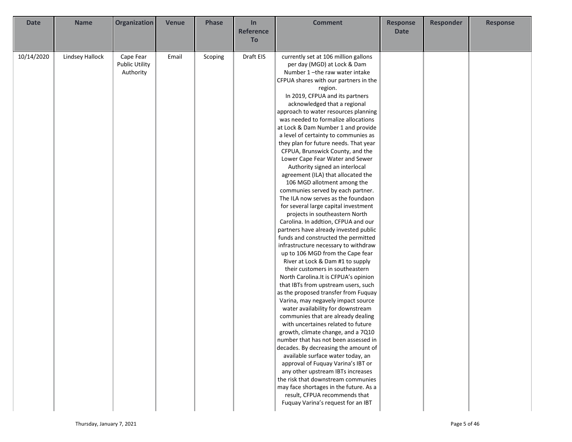| <b>Date</b> | <b>Name</b>            | Organization          | <b>Venue</b> | <b>Phase</b> | In               | <b>Comment</b>                         | <b>Response</b> | <b>Responder</b> | <b>Response</b> |
|-------------|------------------------|-----------------------|--------------|--------------|------------------|----------------------------------------|-----------------|------------------|-----------------|
|             |                        |                       |              |              | <b>Reference</b> |                                        | <b>Date</b>     |                  |                 |
|             |                        |                       |              |              | To               |                                        |                 |                  |                 |
|             |                        |                       |              |              |                  |                                        |                 |                  |                 |
| 10/14/2020  | <b>Lindsey Hallock</b> | Cape Fear             | Email        | Scoping      | Draft EIS        | currently set at 106 million gallons   |                 |                  |                 |
|             |                        | <b>Public Utility</b> |              |              |                  | per day (MGD) at Lock & Dam            |                 |                  |                 |
|             |                        | Authority             |              |              |                  | Number 1-the raw water intake          |                 |                  |                 |
|             |                        |                       |              |              |                  | CFPUA shares with our partners in the  |                 |                  |                 |
|             |                        |                       |              |              |                  | region.                                |                 |                  |                 |
|             |                        |                       |              |              |                  | In 2019, CFPUA and its partners        |                 |                  |                 |
|             |                        |                       |              |              |                  | acknowledged that a regional           |                 |                  |                 |
|             |                        |                       |              |              |                  | approach to water resources planning   |                 |                  |                 |
|             |                        |                       |              |              |                  | was needed to formalize allocations    |                 |                  |                 |
|             |                        |                       |              |              |                  | at Lock & Dam Number 1 and provide     |                 |                  |                 |
|             |                        |                       |              |              |                  | a level of certainty to communies as   |                 |                  |                 |
|             |                        |                       |              |              |                  | they plan for future needs. That year  |                 |                  |                 |
|             |                        |                       |              |              |                  | CFPUA, Brunswick County, and the       |                 |                  |                 |
|             |                        |                       |              |              |                  | Lower Cape Fear Water and Sewer        |                 |                  |                 |
|             |                        |                       |              |              |                  | Authority signed an interlocal         |                 |                  |                 |
|             |                        |                       |              |              |                  | agreement (ILA) that allocated the     |                 |                  |                 |
|             |                        |                       |              |              |                  | 106 MGD allotment among the            |                 |                  |                 |
|             |                        |                       |              |              |                  | communies served by each partner.      |                 |                  |                 |
|             |                        |                       |              |              |                  | The ILA now serves as the foundaon     |                 |                  |                 |
|             |                        |                       |              |              |                  | for several large capital investment   |                 |                  |                 |
|             |                        |                       |              |              |                  | projects in southeastern North         |                 |                  |                 |
|             |                        |                       |              |              |                  | Carolina. In addtion, CFPUA and our    |                 |                  |                 |
|             |                        |                       |              |              |                  | partners have already invested public  |                 |                  |                 |
|             |                        |                       |              |              |                  | funds and constructed the permitted    |                 |                  |                 |
|             |                        |                       |              |              |                  | infrastructure necessary to withdraw   |                 |                  |                 |
|             |                        |                       |              |              |                  | up to 106 MGD from the Cape fear       |                 |                  |                 |
|             |                        |                       |              |              |                  | River at Lock & Dam #1 to supply       |                 |                  |                 |
|             |                        |                       |              |              |                  | their customers in southeastern        |                 |                  |                 |
|             |                        |                       |              |              |                  | North Carolina. It is CFPUA's opinion  |                 |                  |                 |
|             |                        |                       |              |              |                  | that IBTs from upstream users, such    |                 |                  |                 |
|             |                        |                       |              |              |                  | as the proposed transfer from Fuquay   |                 |                  |                 |
|             |                        |                       |              |              |                  | Varina, may negavely impact source     |                 |                  |                 |
|             |                        |                       |              |              |                  | water availability for downstream      |                 |                  |                 |
|             |                        |                       |              |              |                  | communies that are already dealing     |                 |                  |                 |
|             |                        |                       |              |              |                  | with uncertaines related to future     |                 |                  |                 |
|             |                        |                       |              |              |                  | growth, climate change, and a 7Q10     |                 |                  |                 |
|             |                        |                       |              |              |                  | number that has not been assessed in   |                 |                  |                 |
|             |                        |                       |              |              |                  | decades. By decreasing the amount of   |                 |                  |                 |
|             |                        |                       |              |              |                  | available surface water today, an      |                 |                  |                 |
|             |                        |                       |              |              |                  | approval of Fuquay Varina's IBT or     |                 |                  |                 |
|             |                        |                       |              |              |                  | any other upstream IBTs increases      |                 |                  |                 |
|             |                        |                       |              |              |                  | the risk that downstream communies     |                 |                  |                 |
|             |                        |                       |              |              |                  | may face shortages in the future. As a |                 |                  |                 |
|             |                        |                       |              |              |                  | result, CFPUA recommends that          |                 |                  |                 |
|             |                        |                       |              |              |                  | Fuquay Varina's request for an IBT     |                 |                  |                 |
|             |                        |                       |              |              |                  |                                        |                 |                  |                 |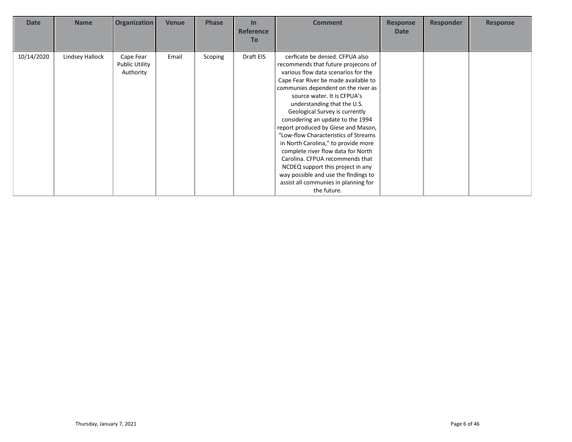| <b>Date</b> | <b>Name</b>     | <b>Organization</b>                      | Venue | <b>Phase</b> | In<br><b>Reference</b><br><b>To</b> | <b>Comment</b>                                                                                                                                                                                                                                                                                                                                                                                                                                                                                                                                                                                                                                                       | <b>Response</b><br><b>Date</b> | <b>Responder</b> | <b>Response</b> |
|-------------|-----------------|------------------------------------------|-------|--------------|-------------------------------------|----------------------------------------------------------------------------------------------------------------------------------------------------------------------------------------------------------------------------------------------------------------------------------------------------------------------------------------------------------------------------------------------------------------------------------------------------------------------------------------------------------------------------------------------------------------------------------------------------------------------------------------------------------------------|--------------------------------|------------------|-----------------|
| 10/14/2020  | Lindsey Hallock | Cape Fear<br>Public Utility<br>Authority | Email | Scoping      | Draft EIS                           | cerficate be denied. CFPUA also<br>recommends that future projecons of<br>various flow data scenarios for the<br>Cape Fear River be made available to<br>communies dependent on the river as<br>source water. It is CFPUA's<br>understanding that the U.S.<br>Geological Survey is currently<br>considering an update to the 1994<br>report produced by Giese and Mason,<br>"Low-flow Characteristics of Streams<br>in North Carolina," to provide more<br>complete river flow data for North<br>Carolina. CFPUA recommends that<br>NCDEQ support this project in any<br>way possible and use the findings to<br>assist all communies in planning for<br>the future. |                                |                  |                 |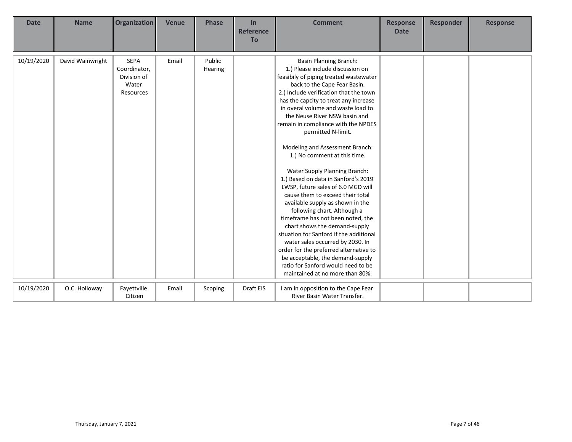| <b>Date</b> | <b>Name</b>      | <b>Organization</b>                                              | <b>Venue</b> | <b>Phase</b>      | In<br><b>Reference</b><br><b>To</b> | <b>Comment</b>                                                                                                                                                                                                                                                                                                                                                                                                                                                                                                                                                                                                                                                                                                                                                                                                                                                                                                                                                         | <b>Response</b><br><b>Date</b> | <b>Responder</b> | <b>Response</b> |
|-------------|------------------|------------------------------------------------------------------|--------------|-------------------|-------------------------------------|------------------------------------------------------------------------------------------------------------------------------------------------------------------------------------------------------------------------------------------------------------------------------------------------------------------------------------------------------------------------------------------------------------------------------------------------------------------------------------------------------------------------------------------------------------------------------------------------------------------------------------------------------------------------------------------------------------------------------------------------------------------------------------------------------------------------------------------------------------------------------------------------------------------------------------------------------------------------|--------------------------------|------------------|-----------------|
| 10/19/2020  | David Wainwright | <b>SEPA</b><br>Coordinator,<br>Division of<br>Water<br>Resources | Email        | Public<br>Hearing |                                     | <b>Basin Planning Branch:</b><br>1.) Please include discussion on<br>feasibily of piping treated wastewater<br>back to the Cape Fear Basin.<br>2.) Include verification that the town<br>has the capcity to treat any increase<br>in overal volume and waste load to<br>the Neuse River NSW basin and<br>remain in compliance with the NPDES<br>permitted N-limit.<br>Modeling and Assessment Branch:<br>1.) No comment at this time.<br>Water Supply Planning Branch:<br>1.) Based on data in Sanford's 2019<br>LWSP, future sales of 6.0 MGD will<br>cause them to exceed their total<br>available supply as shown in the<br>following chart. Although a<br>timeframe has not been noted, the<br>chart shows the demand-supply<br>situation for Sanford if the additional<br>water sales occurred by 2030. In<br>order for the preferred alternative to<br>be acceptable, the demand-supply<br>ratio for Sanford would need to be<br>maintained at no more than 80%. |                                |                  |                 |
| 10/19/2020  | O.C. Holloway    | Fayettville<br>Citizen                                           | Email        | Scoping           | Draft EIS                           | I am in opposition to the Cape Fear<br>River Basin Water Transfer.                                                                                                                                                                                                                                                                                                                                                                                                                                                                                                                                                                                                                                                                                                                                                                                                                                                                                                     |                                |                  |                 |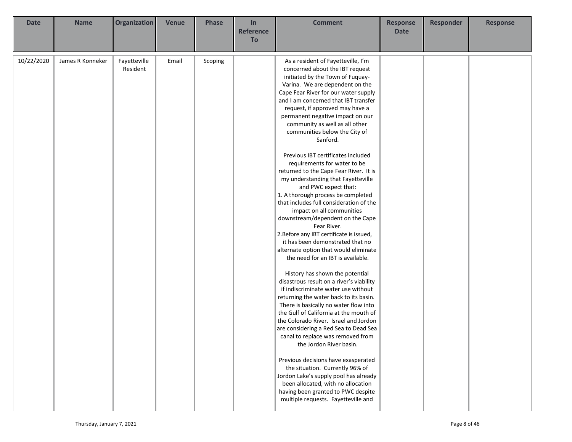| <b>Date</b> | <b>Name</b>      | Organization             | <b>Venue</b> | <b>Phase</b> | In<br><b>Reference</b><br>To | <b>Comment</b>                                                                                                                                                                                                                                                                                                                                                                                                                                                                                                                                                                                                                                                                                                                                                                                                                                                                                                                                                                                                                                                                                                                                                                                                                                                                                                                                                                                                                                                                                                                             | <b>Response</b><br><b>Date</b> | <b>Responder</b> | <b>Response</b> |
|-------------|------------------|--------------------------|--------------|--------------|------------------------------|--------------------------------------------------------------------------------------------------------------------------------------------------------------------------------------------------------------------------------------------------------------------------------------------------------------------------------------------------------------------------------------------------------------------------------------------------------------------------------------------------------------------------------------------------------------------------------------------------------------------------------------------------------------------------------------------------------------------------------------------------------------------------------------------------------------------------------------------------------------------------------------------------------------------------------------------------------------------------------------------------------------------------------------------------------------------------------------------------------------------------------------------------------------------------------------------------------------------------------------------------------------------------------------------------------------------------------------------------------------------------------------------------------------------------------------------------------------------------------------------------------------------------------------------|--------------------------------|------------------|-----------------|
| 10/22/2020  | James R Konneker | Fayetteville<br>Resident | Email        | Scoping      |                              | As a resident of Fayetteville, I'm<br>concerned about the IBT request<br>initiated by the Town of Fuquay-<br>Varina. We are dependent on the<br>Cape Fear River for our water supply<br>and I am concerned that IBT transfer<br>request, if approved may have a<br>permanent negative impact on our<br>community as well as all other<br>communities below the City of<br>Sanford.<br>Previous IBT certificates included<br>requirements for water to be<br>returned to the Cape Fear River. It is<br>my understanding that Fayetteville<br>and PWC expect that:<br>1. A thorough process be completed<br>that includes full consideration of the<br>impact on all communities<br>downstream/dependent on the Cape<br>Fear River.<br>2. Before any IBT certificate is issued,<br>it has been demonstrated that no<br>alternate option that would eliminate<br>the need for an IBT is available.<br>History has shown the potential<br>disastrous result on a river's viability<br>if indiscriminate water use without<br>returning the water back to its basin.<br>There is basically no water flow into<br>the Gulf of California at the mouth of<br>the Colorado River. Israel and Jordon<br>are considering a Red Sea to Dead Sea<br>canal to replace was removed from<br>the Jordon River basin.<br>Previous decisions have exasperated<br>the situation. Currently 96% of<br>Jordon Lake's supply pool has already<br>been allocated, with no allocation<br>having been granted to PWC despite<br>multiple requests. Fayetteville and |                                |                  |                 |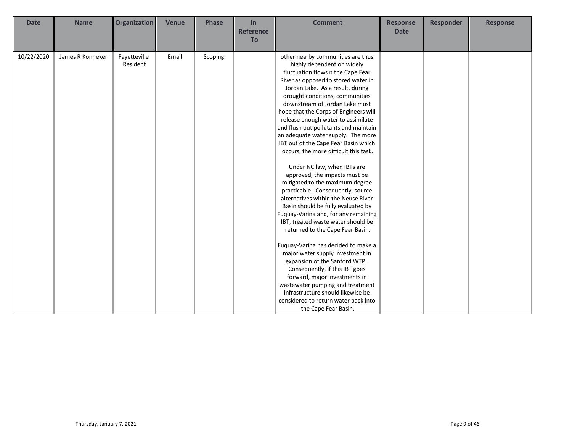| <b>Date</b> | <b>Name</b>      | Organization             | <b>Venue</b> | <b>Phase</b> | In<br><b>Reference</b><br>To | <b>Comment</b>                                                                                                                                                                                                                                                                                                                                                                                                                                                                                                                                                                                                                                                                                                                                                                                                                                                                                                                                                                                                                                                                                                                                                     | <b>Response</b><br><b>Date</b> | <b>Responder</b> | <b>Response</b> |
|-------------|------------------|--------------------------|--------------|--------------|------------------------------|--------------------------------------------------------------------------------------------------------------------------------------------------------------------------------------------------------------------------------------------------------------------------------------------------------------------------------------------------------------------------------------------------------------------------------------------------------------------------------------------------------------------------------------------------------------------------------------------------------------------------------------------------------------------------------------------------------------------------------------------------------------------------------------------------------------------------------------------------------------------------------------------------------------------------------------------------------------------------------------------------------------------------------------------------------------------------------------------------------------------------------------------------------------------|--------------------------------|------------------|-----------------|
| 10/22/2020  | James R Konneker | Fayetteville<br>Resident | Email        | Scoping      |                              | other nearby communities are thus<br>highly dependent on widely<br>fluctuation flows n the Cape Fear<br>River as opposed to stored water in<br>Jordan Lake. As a result, during<br>drought conditions, communities<br>downstream of Jordan Lake must<br>hope that the Corps of Engineers will<br>release enough water to assimilate<br>and flush out pollutants and maintain<br>an adequate water supply. The more<br>IBT out of the Cape Fear Basin which<br>occurs, the more difficult this task.<br>Under NC law, when IBTs are<br>approved, the impacts must be<br>mitigated to the maximum degree<br>practicable. Consequently, source<br>alternatives within the Neuse River<br>Basin should be fully evaluated by<br>Fuquay-Varina and, for any remaining<br>IBT, treated waste water should be<br>returned to the Cape Fear Basin.<br>Fuquay-Varina has decided to make a<br>major water supply investment in<br>expansion of the Sanford WTP.<br>Consequently, if this IBT goes<br>forward, major investments in<br>wastewater pumping and treatment<br>infrastructure should likewise be<br>considered to return water back into<br>the Cape Fear Basin. |                                |                  |                 |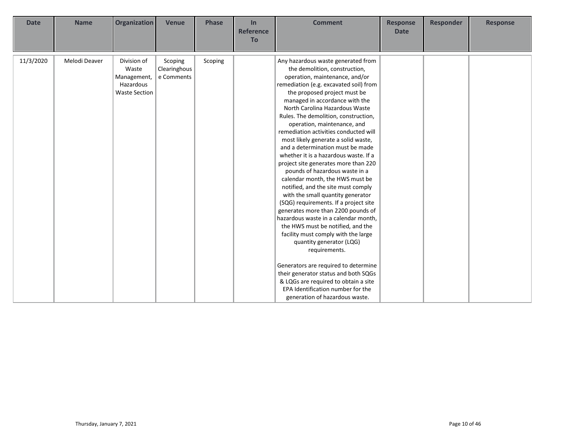| <b>Date</b> | <b>Name</b>   | <b>Organization</b>  | <b>Venue</b> | <b>Phase</b> | In<br><b>Reference</b><br>To | <b>Comment</b>                         | <b>Response</b><br><b>Date</b> | <b>Responder</b> | <b>Response</b> |
|-------------|---------------|----------------------|--------------|--------------|------------------------------|----------------------------------------|--------------------------------|------------------|-----------------|
|             |               |                      |              |              |                              |                                        |                                |                  |                 |
| 11/3/2020   | Melodi Deaver | Division of          | Scoping      | Scoping      |                              | Any hazardous waste generated from     |                                |                  |                 |
|             |               | Waste                | Clearinghous |              |                              | the demolition, construction,          |                                |                  |                 |
|             |               | Management,          | e Comments   |              |                              | operation, maintenance, and/or         |                                |                  |                 |
|             |               | Hazardous            |              |              |                              | remediation (e.g. excavated soil) from |                                |                  |                 |
|             |               | <b>Waste Section</b> |              |              |                              | the proposed project must be           |                                |                  |                 |
|             |               |                      |              |              |                              | managed in accordance with the         |                                |                  |                 |
|             |               |                      |              |              |                              | North Carolina Hazardous Waste         |                                |                  |                 |
|             |               |                      |              |              |                              | Rules. The demolition, construction,   |                                |                  |                 |
|             |               |                      |              |              |                              | operation, maintenance, and            |                                |                  |                 |
|             |               |                      |              |              |                              | remediation activities conducted will  |                                |                  |                 |
|             |               |                      |              |              |                              | most likely generate a solid waste,    |                                |                  |                 |
|             |               |                      |              |              |                              | and a determination must be made       |                                |                  |                 |
|             |               |                      |              |              |                              | whether it is a hazardous waste. If a  |                                |                  |                 |
|             |               |                      |              |              |                              | project site generates more than 220   |                                |                  |                 |
|             |               |                      |              |              |                              | pounds of hazardous waste in a         |                                |                  |                 |
|             |               |                      |              |              |                              | calendar month, the HWS must be        |                                |                  |                 |
|             |               |                      |              |              |                              | notified, and the site must comply     |                                |                  |                 |
|             |               |                      |              |              |                              | with the small quantity generator      |                                |                  |                 |
|             |               |                      |              |              |                              | (SQG) requirements. If a project site  |                                |                  |                 |
|             |               |                      |              |              |                              | generates more than 2200 pounds of     |                                |                  |                 |
|             |               |                      |              |              |                              | hazardous waste in a calendar month,   |                                |                  |                 |
|             |               |                      |              |              |                              | the HWS must be notified, and the      |                                |                  |                 |
|             |               |                      |              |              |                              | facility must comply with the large    |                                |                  |                 |
|             |               |                      |              |              |                              | quantity generator (LQG)               |                                |                  |                 |
|             |               |                      |              |              |                              | requirements.                          |                                |                  |                 |
|             |               |                      |              |              |                              |                                        |                                |                  |                 |
|             |               |                      |              |              |                              | Generators are required to determine   |                                |                  |                 |
|             |               |                      |              |              |                              | their generator status and both SQGs   |                                |                  |                 |
|             |               |                      |              |              |                              | & LQGs are required to obtain a site   |                                |                  |                 |
|             |               |                      |              |              |                              | EPA Identification number for the      |                                |                  |                 |
|             |               |                      |              |              |                              | generation of hazardous waste.         |                                |                  |                 |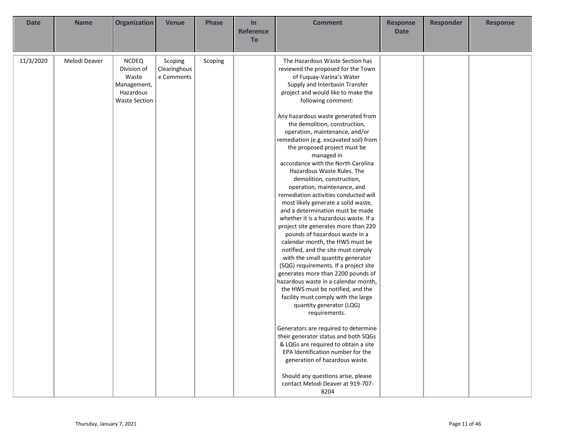| <b>Date</b> | <b>Name</b>   | Organization                                                                             | <b>Venue</b>                          | <b>Phase</b> | In<br><b>Reference</b><br>To | <b>Comment</b>                                                                                                                                                                                                                                                                                                                                                                                                                                                                                                                                                                                                                                                                                                                                                                                                                                                                                                                                                                                                                                                                                                                                                                                                                                                                                                                                                                                                          | <b>Response</b><br><b>Date</b> | <b>Responder</b> | <b>Response</b> |
|-------------|---------------|------------------------------------------------------------------------------------------|---------------------------------------|--------------|------------------------------|-------------------------------------------------------------------------------------------------------------------------------------------------------------------------------------------------------------------------------------------------------------------------------------------------------------------------------------------------------------------------------------------------------------------------------------------------------------------------------------------------------------------------------------------------------------------------------------------------------------------------------------------------------------------------------------------------------------------------------------------------------------------------------------------------------------------------------------------------------------------------------------------------------------------------------------------------------------------------------------------------------------------------------------------------------------------------------------------------------------------------------------------------------------------------------------------------------------------------------------------------------------------------------------------------------------------------------------------------------------------------------------------------------------------------|--------------------------------|------------------|-----------------|
| 11/3/2020   | Melodi Deaver | <b>NCDEQ</b><br>Division of<br>Waste<br>Management,<br>Hazardous<br><b>Waste Section</b> | Scoping<br>Clearinghous<br>e Comments | Scoping      |                              | The Hazardous Waste Section has<br>reviewed the proposed for the Town<br>of Fuquay-Varina's Water<br>Supply and Interbasin Transfer<br>project and would like to make the<br>following comment:<br>Any hazardous waste generated from<br>the demolition, construction,<br>operation, maintenance, and/or<br>remediation (e.g. excavated soil) from<br>the proposed project must be<br>managed in<br>accordance with the North Carolina<br>Hazardous Waste Rules. The<br>demolition, construction,<br>operation, maintenance, and<br>remediation activities conducted will<br>most likely generate a solid waste,<br>and a determination must be made<br>whether it is a hazardous waste. If a<br>project site generates more than 220<br>pounds of hazardous waste in a<br>calendar month, the HWS must be<br>notified, and the site must comply<br>with the small quantity generator<br>(SQG) requirements. If a project site<br>generates more than 2200 pounds of<br>hazardous waste in a calendar month,<br>the HWS must be notified, and the<br>facility must comply with the large<br>quantity generator (LQG)<br>requirements.<br>Generators are required to determine<br>their generator status and both SQGs<br>& LQGs are required to obtain a site<br>EPA Identification number for the<br>generation of hazardous waste.<br>Should any questions arise, please<br>contact Melodi Deaver at 919-707-<br>8204 |                                |                  |                 |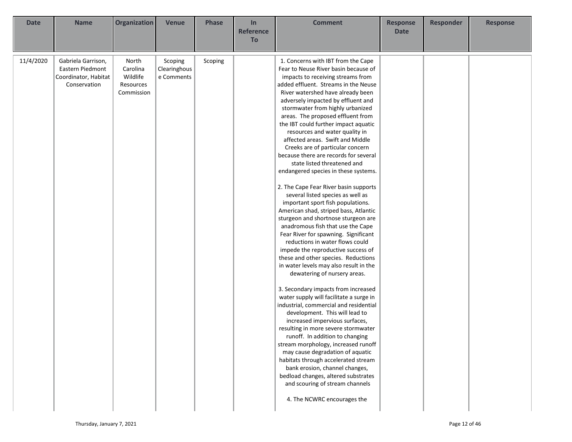| <b>Date</b> | <b>Name</b>                                                                    | Organization                                             | <b>Venue</b>                          | <b>Phase</b> | In<br><b>Reference</b> | <b>Comment</b>                                                                                                                                                                                                                                                                                                                                                                                                                                                                                                                                                                                                                                                                                                                                                                                                                                                                                                                                                                                                                                                                                                                                                                                                                                                                                                                                                                                                                                                                                                                                                                                 | <b>Response</b><br><b>Date</b> | <b>Responder</b> | <b>Response</b> |
|-------------|--------------------------------------------------------------------------------|----------------------------------------------------------|---------------------------------------|--------------|------------------------|------------------------------------------------------------------------------------------------------------------------------------------------------------------------------------------------------------------------------------------------------------------------------------------------------------------------------------------------------------------------------------------------------------------------------------------------------------------------------------------------------------------------------------------------------------------------------------------------------------------------------------------------------------------------------------------------------------------------------------------------------------------------------------------------------------------------------------------------------------------------------------------------------------------------------------------------------------------------------------------------------------------------------------------------------------------------------------------------------------------------------------------------------------------------------------------------------------------------------------------------------------------------------------------------------------------------------------------------------------------------------------------------------------------------------------------------------------------------------------------------------------------------------------------------------------------------------------------------|--------------------------------|------------------|-----------------|
|             |                                                                                |                                                          |                                       |              | To                     |                                                                                                                                                                                                                                                                                                                                                                                                                                                                                                                                                                                                                                                                                                                                                                                                                                                                                                                                                                                                                                                                                                                                                                                                                                                                                                                                                                                                                                                                                                                                                                                                |                                |                  |                 |
| 11/4/2020   | Gabriela Garrison,<br>Eastern Piedmont<br>Coordinator, Habitat<br>Conservation | North<br>Carolina<br>Wildlife<br>Resources<br>Commission | Scoping<br>Clearinghous<br>e Comments | Scoping      |                        | 1. Concerns with IBT from the Cape<br>Fear to Neuse River basin because of<br>impacts to receiving streams from<br>added effluent. Streams in the Neuse<br>River watershed have already been<br>adversely impacted by effluent and<br>stormwater from highly urbanized<br>areas. The proposed effluent from<br>the IBT could further impact aquatic<br>resources and water quality in<br>affected areas. Swift and Middle<br>Creeks are of particular concern<br>because there are records for several<br>state listed threatened and<br>endangered species in these systems.<br>2. The Cape Fear River basin supports<br>several listed species as well as<br>important sport fish populations.<br>American shad, striped bass, Atlantic<br>sturgeon and shortnose sturgeon are<br>anadromous fish that use the Cape<br>Fear River for spawning. Significant<br>reductions in water flows could<br>impede the reproductive success of<br>these and other species. Reductions<br>in water levels may also result in the<br>dewatering of nursery areas.<br>3. Secondary impacts from increased<br>water supply will facilitate a surge in<br>industrial, commercial and residential<br>development. This will lead to<br>increased impervious surfaces,<br>resulting in more severe stormwater<br>runoff. In addition to changing<br>stream morphology, increased runoff<br>may cause degradation of aquatic<br>habitats through accelerated stream<br>bank erosion, channel changes,<br>bedload changes, altered substrates<br>and scouring of stream channels<br>4. The NCWRC encourages the |                                |                  |                 |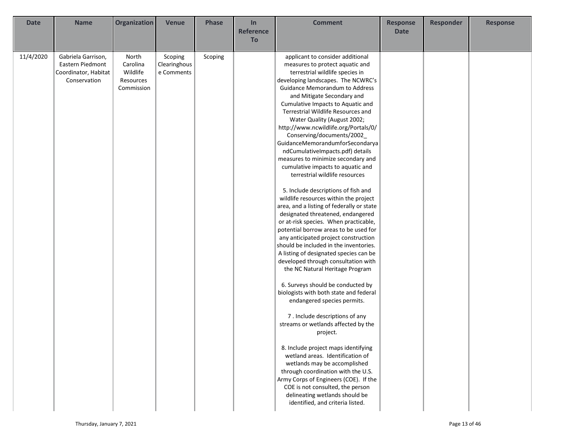| <b>Date</b> | <b>Name</b>          | Organization | <b>Venue</b> | <b>Phase</b> | In               | <b>Comment</b>                            | <b>Response</b> | Responder | <b>Response</b> |
|-------------|----------------------|--------------|--------------|--------------|------------------|-------------------------------------------|-----------------|-----------|-----------------|
|             |                      |              |              |              | <b>Reference</b> |                                           | <b>Date</b>     |           |                 |
|             |                      |              |              |              | To               |                                           |                 |           |                 |
|             |                      |              |              |              |                  |                                           |                 |           |                 |
| 11/4/2020   | Gabriela Garrison,   | North        | Scoping      | Scoping      |                  | applicant to consider additional          |                 |           |                 |
|             | Eastern Piedmont     | Carolina     | Clearinghous |              |                  | measures to protect aquatic and           |                 |           |                 |
|             | Coordinator, Habitat | Wildlife     | e Comments   |              |                  | terrestrial wildlife species in           |                 |           |                 |
|             | Conservation         | Resources    |              |              |                  | developing landscapes. The NCWRC's        |                 |           |                 |
|             |                      | Commission   |              |              |                  | Guidance Memorandum to Address            |                 |           |                 |
|             |                      |              |              |              |                  | and Mitigate Secondary and                |                 |           |                 |
|             |                      |              |              |              |                  | Cumulative Impacts to Aquatic and         |                 |           |                 |
|             |                      |              |              |              |                  | Terrestrial Wildlife Resources and        |                 |           |                 |
|             |                      |              |              |              |                  | Water Quality (August 2002;               |                 |           |                 |
|             |                      |              |              |              |                  | http://www.ncwildlife.org/Portals/0/      |                 |           |                 |
|             |                      |              |              |              |                  | Conserving/documents/2002                 |                 |           |                 |
|             |                      |              |              |              |                  | GuidanceMemorandumforSecondarya           |                 |           |                 |
|             |                      |              |              |              |                  | ndCumulativeImpacts.pdf) details          |                 |           |                 |
|             |                      |              |              |              |                  | measures to minimize secondary and        |                 |           |                 |
|             |                      |              |              |              |                  | cumulative impacts to aquatic and         |                 |           |                 |
|             |                      |              |              |              |                  | terrestrial wildlife resources            |                 |           |                 |
|             |                      |              |              |              |                  | 5. Include descriptions of fish and       |                 |           |                 |
|             |                      |              |              |              |                  | wildlife resources within the project     |                 |           |                 |
|             |                      |              |              |              |                  | area, and a listing of federally or state |                 |           |                 |
|             |                      |              |              |              |                  | designated threatened, endangered         |                 |           |                 |
|             |                      |              |              |              |                  | or at-risk species. When practicable,     |                 |           |                 |
|             |                      |              |              |              |                  | potential borrow areas to be used for     |                 |           |                 |
|             |                      |              |              |              |                  | any anticipated project construction      |                 |           |                 |
|             |                      |              |              |              |                  | should be included in the inventories.    |                 |           |                 |
|             |                      |              |              |              |                  | A listing of designated species can be    |                 |           |                 |
|             |                      |              |              |              |                  | developed through consultation with       |                 |           |                 |
|             |                      |              |              |              |                  | the NC Natural Heritage Program           |                 |           |                 |
|             |                      |              |              |              |                  |                                           |                 |           |                 |
|             |                      |              |              |              |                  | 6. Surveys should be conducted by         |                 |           |                 |
|             |                      |              |              |              |                  | biologists with both state and federal    |                 |           |                 |
|             |                      |              |              |              |                  | endangered species permits.               |                 |           |                 |
|             |                      |              |              |              |                  | 7. Include descriptions of any            |                 |           |                 |
|             |                      |              |              |              |                  | streams or wetlands affected by the       |                 |           |                 |
|             |                      |              |              |              |                  | project.                                  |                 |           |                 |
|             |                      |              |              |              |                  |                                           |                 |           |                 |
|             |                      |              |              |              |                  | 8. Include project maps identifying       |                 |           |                 |
|             |                      |              |              |              |                  | wetland areas. Identification of          |                 |           |                 |
|             |                      |              |              |              |                  | wetlands may be accomplished              |                 |           |                 |
|             |                      |              |              |              |                  | through coordination with the U.S.        |                 |           |                 |
|             |                      |              |              |              |                  | Army Corps of Engineers (COE). If the     |                 |           |                 |
|             |                      |              |              |              |                  | COE is not consulted, the person          |                 |           |                 |
|             |                      |              |              |              |                  | delineating wetlands should be            |                 |           |                 |
|             |                      |              |              |              |                  | identified, and criteria listed.          |                 |           |                 |
|             |                      |              |              |              |                  |                                           |                 |           |                 |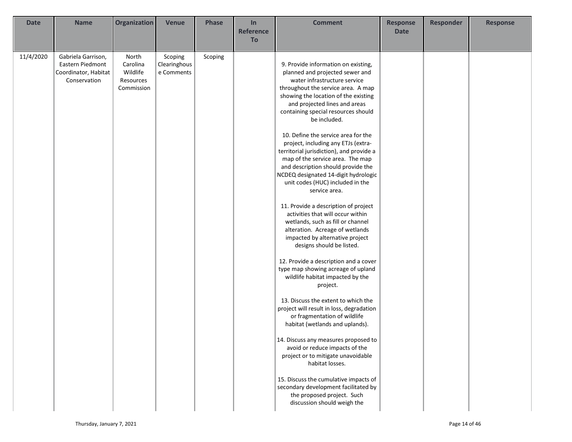| <b>Date</b> | <b>Name</b>                                                                    | Organization                                             | <b>Venue</b>                          | <b>Phase</b> | In               | <b>Comment</b>                                                                                                                                                                                                                                                                                                                                                                                                                                                                                                                                                                                                                                                                                                                                                                                                                                                                                                                                                                                                                                                                                                                  | <b>Response</b> | <b>Responder</b> | <b>Response</b> |
|-------------|--------------------------------------------------------------------------------|----------------------------------------------------------|---------------------------------------|--------------|------------------|---------------------------------------------------------------------------------------------------------------------------------------------------------------------------------------------------------------------------------------------------------------------------------------------------------------------------------------------------------------------------------------------------------------------------------------------------------------------------------------------------------------------------------------------------------------------------------------------------------------------------------------------------------------------------------------------------------------------------------------------------------------------------------------------------------------------------------------------------------------------------------------------------------------------------------------------------------------------------------------------------------------------------------------------------------------------------------------------------------------------------------|-----------------|------------------|-----------------|
|             |                                                                                |                                                          |                                       |              | <b>Reference</b> |                                                                                                                                                                                                                                                                                                                                                                                                                                                                                                                                                                                                                                                                                                                                                                                                                                                                                                                                                                                                                                                                                                                                 | <b>Date</b>     |                  |                 |
|             |                                                                                |                                                          |                                       |              | To               |                                                                                                                                                                                                                                                                                                                                                                                                                                                                                                                                                                                                                                                                                                                                                                                                                                                                                                                                                                                                                                                                                                                                 |                 |                  |                 |
| 11/4/2020   | Gabriela Garrison,<br>Eastern Piedmont<br>Coordinator, Habitat<br>Conservation | North<br>Carolina<br>Wildlife<br>Resources<br>Commission | Scoping<br>Clearinghous<br>e Comments | Scoping      |                  | 9. Provide information on existing,<br>planned and projected sewer and<br>water infrastructure service<br>throughout the service area. A map<br>showing the location of the existing<br>and projected lines and areas<br>containing special resources should<br>be included.<br>10. Define the service area for the<br>project, including any ETJs (extra-<br>territorial jurisdiction), and provide a<br>map of the service area. The map<br>and description should provide the<br>NCDEQ designated 14-digit hydrologic<br>unit codes (HUC) included in the<br>service area.<br>11. Provide a description of project<br>activities that will occur within<br>wetlands, such as fill or channel<br>alteration. Acreage of wetlands<br>impacted by alternative project<br>designs should be listed.<br>12. Provide a description and a cover<br>type map showing acreage of upland<br>wildlife habitat impacted by the<br>project.<br>13. Discuss the extent to which the<br>project will result in loss, degradation<br>or fragmentation of wildlife<br>habitat (wetlands and uplands).<br>14. Discuss any measures proposed to |                 |                  |                 |
|             |                                                                                |                                                          |                                       |              |                  | avoid or reduce impacts of the<br>project or to mitigate unavoidable<br>habitat losses.<br>15. Discuss the cumulative impacts of<br>secondary development facilitated by<br>the proposed project. Such<br>discussion should weigh the                                                                                                                                                                                                                                                                                                                                                                                                                                                                                                                                                                                                                                                                                                                                                                                                                                                                                           |                 |                  |                 |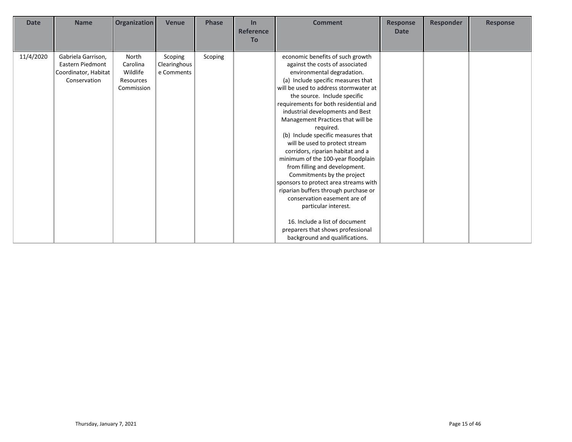| <b>Date</b> | <b>Name</b>                                                                    | <b>Organization</b>                                      | <b>Venue</b>                          | <b>Phase</b> | In               | <b>Comment</b>                                                                                                                                                                                                                                                                                                                                                                                                                                                                                                                                                                                                                                                                                                                                                                                                      | <b>Response</b> | <b>Responder</b> | <b>Response</b> |
|-------------|--------------------------------------------------------------------------------|----------------------------------------------------------|---------------------------------------|--------------|------------------|---------------------------------------------------------------------------------------------------------------------------------------------------------------------------------------------------------------------------------------------------------------------------------------------------------------------------------------------------------------------------------------------------------------------------------------------------------------------------------------------------------------------------------------------------------------------------------------------------------------------------------------------------------------------------------------------------------------------------------------------------------------------------------------------------------------------|-----------------|------------------|-----------------|
|             |                                                                                |                                                          |                                       |              | <b>Reference</b> |                                                                                                                                                                                                                                                                                                                                                                                                                                                                                                                                                                                                                                                                                                                                                                                                                     | <b>Date</b>     |                  |                 |
|             |                                                                                |                                                          |                                       |              | <b>To</b>        |                                                                                                                                                                                                                                                                                                                                                                                                                                                                                                                                                                                                                                                                                                                                                                                                                     |                 |                  |                 |
| 11/4/2020   | Gabriela Garrison,<br>Eastern Piedmont<br>Coordinator, Habitat<br>Conservation | North<br>Carolina<br>Wildlife<br>Resources<br>Commission | Scoping<br>Clearinghous<br>e Comments | Scoping      |                  | economic benefits of such growth<br>against the costs of associated<br>environmental degradation.<br>(a) Include specific measures that<br>will be used to address stormwater at<br>the source. Include specific<br>requirements for both residential and<br>industrial developments and Best<br>Management Practices that will be<br>required.<br>(b) Include specific measures that<br>will be used to protect stream<br>corridors, riparian habitat and a<br>minimum of the 100-year floodplain<br>from filling and development.<br>Commitments by the project<br>sponsors to protect area streams with<br>riparian buffers through purchase or<br>conservation easement are of<br>particular interest.<br>16. Include a list of document<br>preparers that shows professional<br>background and qualifications. |                 |                  |                 |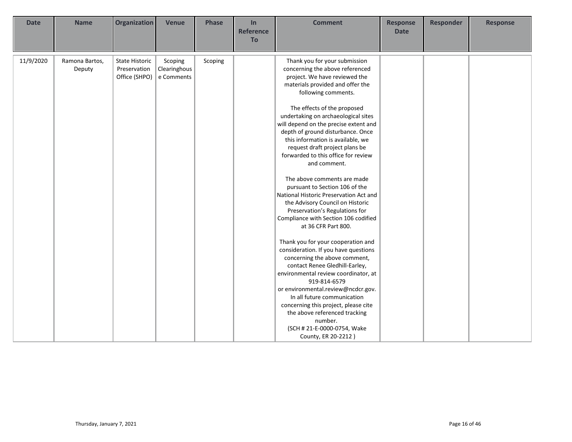| <b>Date</b> | <b>Name</b>              | Organization                                           | <b>Venue</b>                          | <b>Phase</b> | In<br><b>Reference</b><br>To | <b>Comment</b>                                                                                                                                                                                                                                                                                                                                                                                                                                                                                                                                                                                                                                                                                                                                                                                                                                                                                                                                                                                                                                                                                                         | <b>Response</b><br><b>Date</b> | <b>Responder</b> | <b>Response</b> |
|-------------|--------------------------|--------------------------------------------------------|---------------------------------------|--------------|------------------------------|------------------------------------------------------------------------------------------------------------------------------------------------------------------------------------------------------------------------------------------------------------------------------------------------------------------------------------------------------------------------------------------------------------------------------------------------------------------------------------------------------------------------------------------------------------------------------------------------------------------------------------------------------------------------------------------------------------------------------------------------------------------------------------------------------------------------------------------------------------------------------------------------------------------------------------------------------------------------------------------------------------------------------------------------------------------------------------------------------------------------|--------------------------------|------------------|-----------------|
| 11/9/2020   | Ramona Bartos,<br>Deputy | <b>State Historic</b><br>Preservation<br>Office (SHPO) | Scoping<br>Clearinghous<br>e Comments | Scoping      |                              | Thank you for your submission<br>concerning the above referenced<br>project. We have reviewed the<br>materials provided and offer the<br>following comments.<br>The effects of the proposed<br>undertaking on archaeological sites<br>will depend on the precise extent and<br>depth of ground disturbance. Once<br>this information is available, we<br>request draft project plans be<br>forwarded to this office for review<br>and comment.<br>The above comments are made<br>pursuant to Section 106 of the<br>National Historic Preservation Act and<br>the Advisory Council on Historic<br>Preservation's Regulations for<br>Compliance with Section 106 codified<br>at 36 CFR Part 800.<br>Thank you for your cooperation and<br>consideration. If you have questions<br>concerning the above comment,<br>contact Renee Gledhill-Earley,<br>environmental review coordinator, at<br>919-814-6579<br>or environmental.review@ncdcr.gov.<br>In all future communication<br>concerning this project, please cite<br>the above referenced tracking<br>number.<br>(SCH # 21-E-0000-0754, Wake<br>County, ER 20-2212) |                                |                  |                 |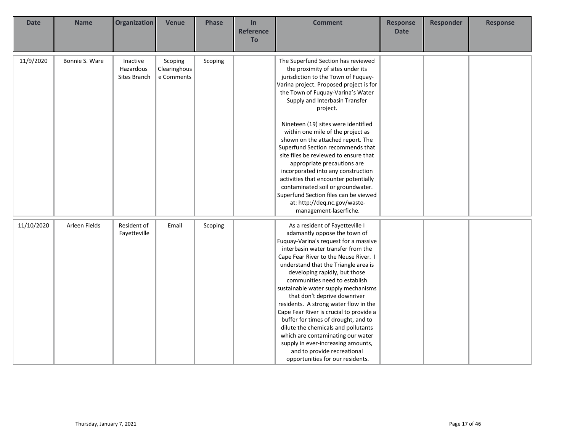| <b>Date</b> | <b>Name</b>    | Organization                          | <b>Venue</b>                          | <b>Phase</b> | In<br><b>Reference</b><br>To | <b>Comment</b>                                                                                                                                                                                                                                                                                                                                                                                                                                                                                                                                                                                                                                                                                                     | <b>Response</b><br><b>Date</b> | <b>Responder</b> | <b>Response</b> |
|-------------|----------------|---------------------------------------|---------------------------------------|--------------|------------------------------|--------------------------------------------------------------------------------------------------------------------------------------------------------------------------------------------------------------------------------------------------------------------------------------------------------------------------------------------------------------------------------------------------------------------------------------------------------------------------------------------------------------------------------------------------------------------------------------------------------------------------------------------------------------------------------------------------------------------|--------------------------------|------------------|-----------------|
| 11/9/2020   | Bonnie S. Ware | Inactive<br>Hazardous<br>Sites Branch | Scoping<br>Clearinghous<br>e Comments | Scoping      |                              | The Superfund Section has reviewed<br>the proximity of sites under its<br>jurisdiction to the Town of Fuquay-<br>Varina project. Proposed project is for<br>the Town of Fuquay-Varina's Water<br>Supply and Interbasin Transfer<br>project.<br>Nineteen (19) sites were identified<br>within one mile of the project as<br>shown on the attached report. The<br>Superfund Section recommends that<br>site files be reviewed to ensure that<br>appropriate precautions are<br>incorporated into any construction<br>activities that encounter potentially<br>contaminated soil or groundwater.<br>Superfund Section files can be viewed<br>at: http://deq.nc.gov/waste-                                             |                                |                  |                 |
| 11/10/2020  | Arleen Fields  | Resident of<br>Fayetteville           | Email                                 | Scoping      |                              | management-laserfiche.<br>As a resident of Fayetteville I<br>adamantly oppose the town of<br>Fuquay-Varina's request for a massive<br>interbasin water transfer from the<br>Cape Fear River to the Neuse River. I<br>understand that the Triangle area is<br>developing rapidly, but those<br>communities need to establish<br>sustainable water supply mechanisms<br>that don't deprive downriver<br>residents. A strong water flow in the<br>Cape Fear River is crucial to provide a<br>buffer for times of drought, and to<br>dilute the chemicals and pollutants<br>which are contaminating our water<br>supply in ever-increasing amounts,<br>and to provide recreational<br>opportunities for our residents. |                                |                  |                 |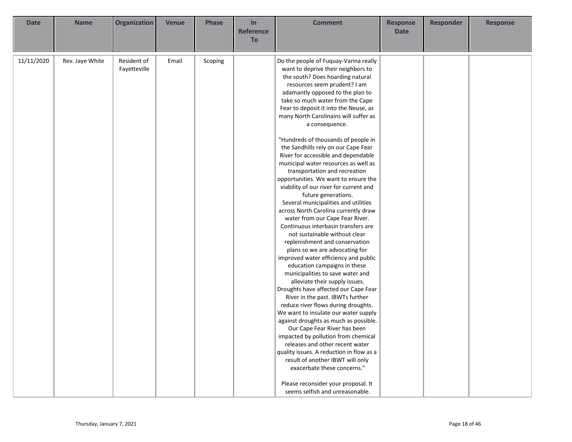| <b>Date</b> | <b>Name</b>     | <b>Organization</b>         | <b>Venue</b> | <b>Phase</b> | In<br><b>Reference</b> | <b>Comment</b>                                                                                                                                                                                                                                                                                                                                                                                                                                                                                                                                                                                                                                                                                                                                                                                                                                                                                                                                                                                                                                                                                                                                                                                                                                                                                                                                                                                                                                                               | <b>Response</b><br><b>Date</b> | <b>Responder</b> | <b>Response</b> |
|-------------|-----------------|-----------------------------|--------------|--------------|------------------------|------------------------------------------------------------------------------------------------------------------------------------------------------------------------------------------------------------------------------------------------------------------------------------------------------------------------------------------------------------------------------------------------------------------------------------------------------------------------------------------------------------------------------------------------------------------------------------------------------------------------------------------------------------------------------------------------------------------------------------------------------------------------------------------------------------------------------------------------------------------------------------------------------------------------------------------------------------------------------------------------------------------------------------------------------------------------------------------------------------------------------------------------------------------------------------------------------------------------------------------------------------------------------------------------------------------------------------------------------------------------------------------------------------------------------------------------------------------------------|--------------------------------|------------------|-----------------|
|             |                 |                             |              |              | <b>To</b>              |                                                                                                                                                                                                                                                                                                                                                                                                                                                                                                                                                                                                                                                                                                                                                                                                                                                                                                                                                                                                                                                                                                                                                                                                                                                                                                                                                                                                                                                                              |                                |                  |                 |
| 11/11/2020  | Rev. Jaye White | Resident of<br>Fayetteville | Email        | Scoping      |                        | Do the people of Fuquay-Varina really<br>want to deprive their neighbors to<br>the south? Does hoarding natural<br>resources seem prudent? I am<br>adamantly opposed to the plan to<br>take so much water from the Cape<br>Fear to deposit it into the Neuse, as<br>many North Carolinains will suffer as<br>a consequence.<br>"Hundreds of thousands of people in<br>the Sandhills rely on our Cape Fear<br>River for accessible and dependable<br>municipal water resources as well as<br>transportation and recreation<br>opportunities. We want to ensure the<br>viability of our river for current and<br>future generations.<br>Several municipalities and utilities<br>across North Carolina currently draw<br>water from our Cape Fear River.<br>Continuous interbasin transfers are<br>not sustainable without clear<br>replenishment and conservation<br>plans so we are advocating for<br>improved water efficiency and public<br>education campaigns in these<br>municipalities to save water and<br>alleviate their supply issues.<br>Droughts have affected our Cape Fear<br>River in the past. IBWTs further<br>reduce river flows during droughts.<br>We want to insulate our water supply<br>against droughts as much as possible.<br>Our Cape Fear River has been<br>impacted by pollution from chemical<br>releases and other recent water<br>quality issues. A reduction in flow as a<br>result of another IBWT will only<br>exacerbate these concerns." |                                |                  |                 |
|             |                 |                             |              |              |                        | Please reconsider your proposal. It<br>seems selfish and unreasonable.                                                                                                                                                                                                                                                                                                                                                                                                                                                                                                                                                                                                                                                                                                                                                                                                                                                                                                                                                                                                                                                                                                                                                                                                                                                                                                                                                                                                       |                                |                  |                 |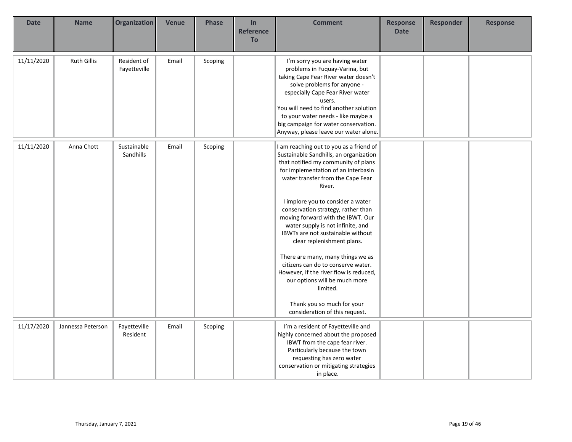| <b>Date</b> | <b>Name</b>        | <b>Organization</b>         | <b>Venue</b> | <b>Phase</b> | In<br><b>Reference</b><br>To | <b>Comment</b>                                                                                                                                                                                                                                                                                                                                                                                                                                                                                                                                                                                                                                                           | <b>Response</b><br><b>Date</b> | <b>Responder</b> | <b>Response</b> |
|-------------|--------------------|-----------------------------|--------------|--------------|------------------------------|--------------------------------------------------------------------------------------------------------------------------------------------------------------------------------------------------------------------------------------------------------------------------------------------------------------------------------------------------------------------------------------------------------------------------------------------------------------------------------------------------------------------------------------------------------------------------------------------------------------------------------------------------------------------------|--------------------------------|------------------|-----------------|
| 11/11/2020  | <b>Ruth Gillis</b> | Resident of<br>Fayetteville | Email        | Scoping      |                              | I'm sorry you are having water<br>problems in Fuquay-Varina, but<br>taking Cape Fear River water doesn't<br>solve problems for anyone -<br>especially Cape Fear River water<br>users.<br>You will need to find another solution<br>to your water needs - like maybe a<br>big campaign for water conservation.<br>Anyway, please leave our water alone.                                                                                                                                                                                                                                                                                                                   |                                |                  |                 |
| 11/11/2020  | Anna Chott         | Sustainable<br>Sandhills    | Email        | Scoping      |                              | I am reaching out to you as a friend of<br>Sustainable Sandhills, an organization<br>that notified my community of plans<br>for implementation of an interbasin<br>water transfer from the Cape Fear<br>River.<br>I implore you to consider a water<br>conservation strategy, rather than<br>moving forward with the IBWT. Our<br>water supply is not infinite, and<br>IBWTs are not sustainable without<br>clear replenishment plans.<br>There are many, many things we as<br>citizens can do to conserve water.<br>However, if the river flow is reduced,<br>our options will be much more<br>limited.<br>Thank you so much for your<br>consideration of this request. |                                |                  |                 |
| 11/17/2020  | Jannessa Peterson  | Fayetteville<br>Resident    | Email        | Scoping      |                              | I'm a resident of Fayetteville and<br>highly concerned about the proposed<br>IBWT from the cape fear river.<br>Particularly because the town<br>requesting has zero water<br>conservation or mitigating strategies<br>in place.                                                                                                                                                                                                                                                                                                                                                                                                                                          |                                |                  |                 |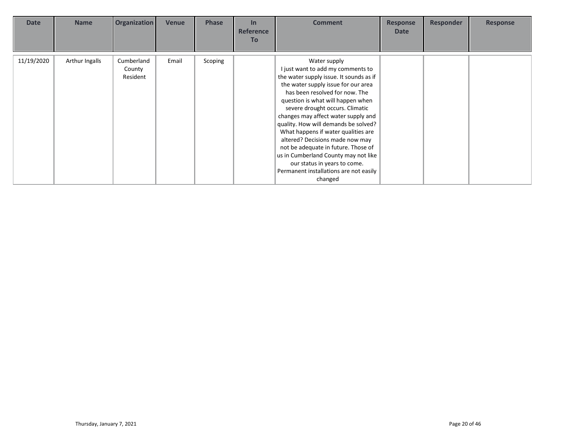| <b>Date</b> | <b>Name</b>    | <b>Organization</b>              | <b>Venue</b> | <b>Phase</b> | $\ln$<br><b>Reference</b><br><b>To</b> | <b>Comment</b>                                                                                                                                                                                                                                                                                                                                                                                                                                                                                                                                                             | <b>Response</b><br><b>Date</b> | <b>Responder</b> | <b>Response</b> |
|-------------|----------------|----------------------------------|--------------|--------------|----------------------------------------|----------------------------------------------------------------------------------------------------------------------------------------------------------------------------------------------------------------------------------------------------------------------------------------------------------------------------------------------------------------------------------------------------------------------------------------------------------------------------------------------------------------------------------------------------------------------------|--------------------------------|------------------|-----------------|
| 11/19/2020  | Arthur Ingalls | Cumberland<br>County<br>Resident | Email        | Scoping      |                                        | Water supply<br>I just want to add my comments to<br>the water supply issue. It sounds as if<br>the water supply issue for our area<br>has been resolved for now. The<br>question is what will happen when<br>severe drought occurs. Climatic<br>changes may affect water supply and<br>quality. How will demands be solved?<br>What happens if water qualities are<br>altered? Decisions made now may<br>not be adequate in future. Those of<br>us in Cumberland County may not like<br>our status in years to come.<br>Permanent installations are not easily<br>changed |                                |                  |                 |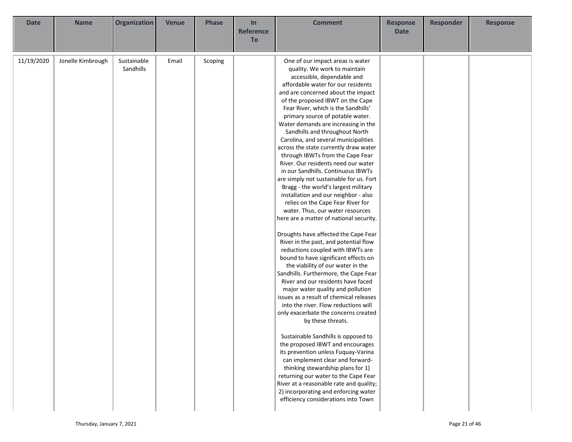| <b>Date</b> | <b>Name</b>       | Organization             | <b>Venue</b> | <b>Phase</b> | In<br><b>Reference</b> | <b>Comment</b>                                                                                                                                                                                                                                                                                                                                                                                                                                                                                                                                                                                                                                                                                                                                                                                                                                                                                                                                                                                                                                                                                                                                                                                                                                                                                                                                                                                                                                                                                                                                                                                                                                          | <b>Response</b><br><b>Date</b> | <b>Responder</b> | <b>Response</b> |
|-------------|-------------------|--------------------------|--------------|--------------|------------------------|---------------------------------------------------------------------------------------------------------------------------------------------------------------------------------------------------------------------------------------------------------------------------------------------------------------------------------------------------------------------------------------------------------------------------------------------------------------------------------------------------------------------------------------------------------------------------------------------------------------------------------------------------------------------------------------------------------------------------------------------------------------------------------------------------------------------------------------------------------------------------------------------------------------------------------------------------------------------------------------------------------------------------------------------------------------------------------------------------------------------------------------------------------------------------------------------------------------------------------------------------------------------------------------------------------------------------------------------------------------------------------------------------------------------------------------------------------------------------------------------------------------------------------------------------------------------------------------------------------------------------------------------------------|--------------------------------|------------------|-----------------|
|             |                   |                          |              |              | To                     |                                                                                                                                                                                                                                                                                                                                                                                                                                                                                                                                                                                                                                                                                                                                                                                                                                                                                                                                                                                                                                                                                                                                                                                                                                                                                                                                                                                                                                                                                                                                                                                                                                                         |                                |                  |                 |
| 11/19/2020  | Jonelle Kimbrough | Sustainable<br>Sandhills | Email        | Scoping      |                        | One of our impact areas is water<br>quality. We work to maintain<br>accessible, dependable and<br>affordable water for our residents<br>and are concerned about the impact<br>of the proposed IBWT on the Cape<br>Fear River, which is the Sandhills'<br>primary source of potable water.<br>Water demands are increasing in the<br>Sandhills and throughout North<br>Carolina, and several municipalities<br>across the state currently draw water<br>through IBWTs from the Cape Fear<br>River. Our residents need our water<br>in our Sandhills. Continuous IBWTs<br>are simply not sustainable for us. Fort<br>Bragg - the world's largest military<br>installation and our neighbor - also<br>relies on the Cape Fear River for<br>water. Thus, our water resources<br>here are a matter of national security.<br>Droughts have affected the Cape Fear<br>River in the past, and potential flow<br>reductions coupled with IBWTs are<br>bound to have significant effects on<br>the viability of our water in the<br>Sandhills. Furthermore, the Cape Fear<br>River and our residents have faced<br>major water quality and pollution<br>issues as a result of chemical releases<br>into the river. Flow reductions will<br>only exacerbate the concerns created<br>by these threats.<br>Sustainable Sandhills is opposed to<br>the proposed IBWT and encourages<br>its prevention unless Fuquay-Varina<br>can implement clear and forward-<br>thinking stewardship plans for 1)<br>returning our water to the Cape Fear<br>River at a reasonable rate and quality;<br>2) incorporating and enforcing water<br>efficiency considerations into Town |                                |                  |                 |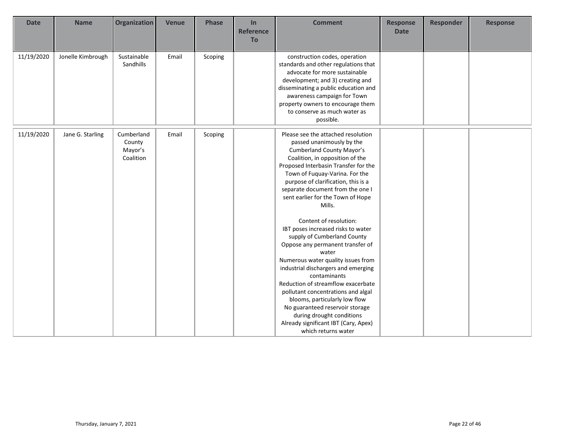| <b>Date</b> | <b>Name</b>       | <b>Organization</b>                          | <b>Venue</b> | Phase   | In<br><b>Reference</b><br><b>To</b> | <b>Comment</b>                                                                                                                                                                                                                                                                                                                                                                                                                                                                                                                                                                                                                                                                                                                                                                                                                  | <b>Response</b><br><b>Date</b> | <b>Responder</b> | <b>Response</b> |
|-------------|-------------------|----------------------------------------------|--------------|---------|-------------------------------------|---------------------------------------------------------------------------------------------------------------------------------------------------------------------------------------------------------------------------------------------------------------------------------------------------------------------------------------------------------------------------------------------------------------------------------------------------------------------------------------------------------------------------------------------------------------------------------------------------------------------------------------------------------------------------------------------------------------------------------------------------------------------------------------------------------------------------------|--------------------------------|------------------|-----------------|
| 11/19/2020  | Jonelle Kimbrough | Sustainable<br>Sandhills                     | Email        | Scoping |                                     | construction codes, operation<br>standards and other regulations that<br>advocate for more sustainable<br>development; and 3) creating and<br>disseminating a public education and<br>awareness campaign for Town<br>property owners to encourage them<br>to conserve as much water as<br>possible.                                                                                                                                                                                                                                                                                                                                                                                                                                                                                                                             |                                |                  |                 |
| 11/19/2020  | Jane G. Starling  | Cumberland<br>County<br>Mayor's<br>Coalition | Email        | Scoping |                                     | Please see the attached resolution<br>passed unanimously by the<br><b>Cumberland County Mayor's</b><br>Coalition, in opposition of the<br>Proposed Interbasin Transfer for the<br>Town of Fuquay-Varina. For the<br>purpose of clarification, this is a<br>separate document from the one I<br>sent earlier for the Town of Hope<br>Mills.<br>Content of resolution:<br>IBT poses increased risks to water<br>supply of Cumberland County<br>Oppose any permanent transfer of<br>water<br>Numerous water quality issues from<br>industrial dischargers and emerging<br>contaminants<br>Reduction of streamflow exacerbate<br>pollutant concentrations and algal<br>blooms, particularly low flow<br>No guaranteed reservoir storage<br>during drought conditions<br>Already significant IBT (Cary, Apex)<br>which returns water |                                |                  |                 |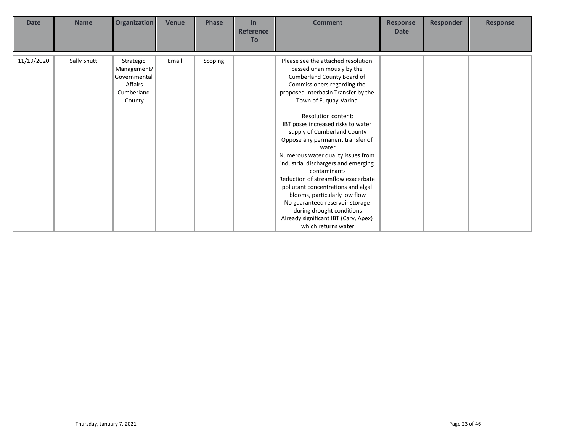| <b>Date</b> | <b>Name</b> | Organization                                                                | <b>Venue</b> | <b>Phase</b> | In<br><b>Reference</b><br><b>To</b> | <b>Comment</b>                                                                                                                                                                                                                                                                                                                                                                                                                                                                                                                                                                                                                                                                         | <b>Response</b><br><b>Date</b> | <b>Responder</b> | <b>Response</b> |
|-------------|-------------|-----------------------------------------------------------------------------|--------------|--------------|-------------------------------------|----------------------------------------------------------------------------------------------------------------------------------------------------------------------------------------------------------------------------------------------------------------------------------------------------------------------------------------------------------------------------------------------------------------------------------------------------------------------------------------------------------------------------------------------------------------------------------------------------------------------------------------------------------------------------------------|--------------------------------|------------------|-----------------|
| 11/19/2020  | Sally Shutt | Strategic<br>Management/<br>Governmental<br>Affairs<br>Cumberland<br>County | Email        | Scoping      |                                     | Please see the attached resolution<br>passed unanimously by the<br>Cumberland County Board of<br>Commissioners regarding the<br>proposed Interbasin Transfer by the<br>Town of Fuquay-Varina.<br><b>Resolution content:</b><br>IBT poses increased risks to water<br>supply of Cumberland County<br>Oppose any permanent transfer of<br>water<br>Numerous water quality issues from<br>industrial dischargers and emerging<br>contaminants<br>Reduction of streamflow exacerbate<br>pollutant concentrations and algal<br>blooms, particularly low flow<br>No guaranteed reservoir storage<br>during drought conditions<br>Already significant IBT (Cary, Apex)<br>which returns water |                                |                  |                 |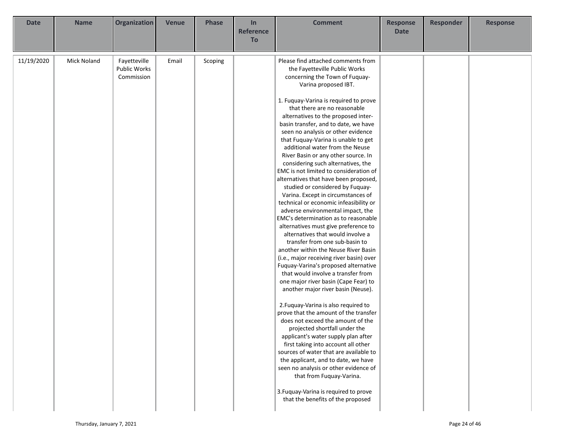| <b>Date</b> | <b>Name</b>        | Organization                                      | <b>Venue</b> | <b>Phase</b> | In<br><b>Reference</b> | <b>Comment</b>                                                                                                                                                                                                                                                                                                                                                                                                                                                                                                                                                                                                                                                                                                                                                                                                                                                                                                                                                                                                                                                                                                                                                                                                                                                                                                                                                                                                                                                                                                                                                                                                 | <b>Response</b><br><b>Date</b> | <b>Responder</b> | <b>Response</b> |
|-------------|--------------------|---------------------------------------------------|--------------|--------------|------------------------|----------------------------------------------------------------------------------------------------------------------------------------------------------------------------------------------------------------------------------------------------------------------------------------------------------------------------------------------------------------------------------------------------------------------------------------------------------------------------------------------------------------------------------------------------------------------------------------------------------------------------------------------------------------------------------------------------------------------------------------------------------------------------------------------------------------------------------------------------------------------------------------------------------------------------------------------------------------------------------------------------------------------------------------------------------------------------------------------------------------------------------------------------------------------------------------------------------------------------------------------------------------------------------------------------------------------------------------------------------------------------------------------------------------------------------------------------------------------------------------------------------------------------------------------------------------------------------------------------------------|--------------------------------|------------------|-----------------|
|             |                    |                                                   |              |              | To                     |                                                                                                                                                                                                                                                                                                                                                                                                                                                                                                                                                                                                                                                                                                                                                                                                                                                                                                                                                                                                                                                                                                                                                                                                                                                                                                                                                                                                                                                                                                                                                                                                                |                                |                  |                 |
| 11/19/2020  | <b>Mick Noland</b> | Fayetteville<br><b>Public Works</b><br>Commission | Email        | Scoping      |                        | Please find attached comments from<br>the Fayetteville Public Works<br>concerning the Town of Fuquay-<br>Varina proposed IBT.<br>1. Fuquay-Varina is required to prove<br>that there are no reasonable<br>alternatives to the proposed inter-<br>basin transfer, and to date, we have<br>seen no analysis or other evidence<br>that Fuquay-Varina is unable to get<br>additional water from the Neuse<br>River Basin or any other source. In<br>considering such alternatives, the<br>EMC is not limited to consideration of<br>alternatives that have been proposed,<br>studied or considered by Fuquay-<br>Varina. Except in circumstances of<br>technical or economic infeasibility or<br>adverse environmental impact, the<br>EMC's determination as to reasonable<br>alternatives must give preference to<br>alternatives that would involve a<br>transfer from one sub-basin to<br>another within the Neuse River Basin<br>(i.e., major receiving river basin) over<br>Fuquay-Varina's proposed alternative<br>that would involve a transfer from<br>one major river basin (Cape Fear) to<br>another major river basin (Neuse).<br>2. Fuquay-Varina is also required to<br>prove that the amount of the transfer<br>does not exceed the amount of the<br>projected shortfall under the<br>applicant's water supply plan after<br>first taking into account all other<br>sources of water that are available to<br>the applicant, and to date, we have<br>seen no analysis or other evidence of<br>that from Fuquay-Varina.<br>3. Fuquay-Varina is required to prove<br>that the benefits of the proposed |                                |                  |                 |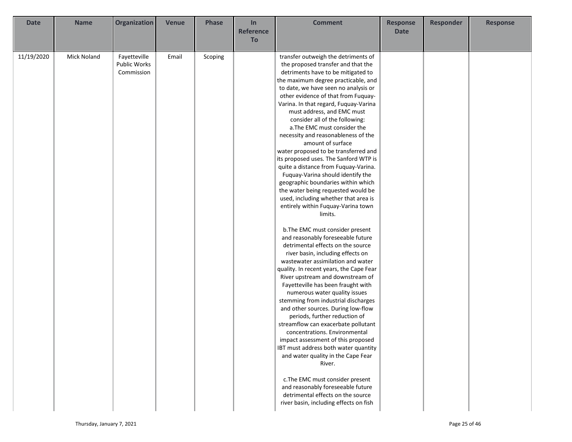| <b>Date</b> | <b>Name</b>        | Organization        | <b>Venue</b> | <b>Phase</b> | In               | <b>Comment</b>                                | <b>Response</b> | Responder | <b>Response</b> |
|-------------|--------------------|---------------------|--------------|--------------|------------------|-----------------------------------------------|-----------------|-----------|-----------------|
|             |                    |                     |              |              | <b>Reference</b> |                                               | <b>Date</b>     |           |                 |
|             |                    |                     |              |              | To               |                                               |                 |           |                 |
| 11/19/2020  | <b>Mick Noland</b> | Fayetteville        | Email        | Scoping      |                  | transfer outweigh the detriments of           |                 |           |                 |
|             |                    | <b>Public Works</b> |              |              |                  | the proposed transfer and that the            |                 |           |                 |
|             |                    | Commission          |              |              |                  | detriments have to be mitigated to            |                 |           |                 |
|             |                    |                     |              |              |                  | the maximum degree practicable, and           |                 |           |                 |
|             |                    |                     |              |              |                  | to date, we have seen no analysis or          |                 |           |                 |
|             |                    |                     |              |              |                  | other evidence of that from Fuquay-           |                 |           |                 |
|             |                    |                     |              |              |                  | Varina. In that regard, Fuquay-Varina         |                 |           |                 |
|             |                    |                     |              |              |                  | must address, and EMC must                    |                 |           |                 |
|             |                    |                     |              |              |                  | consider all of the following:                |                 |           |                 |
|             |                    |                     |              |              |                  | a. The EMC must consider the                  |                 |           |                 |
|             |                    |                     |              |              |                  | necessity and reasonableness of the           |                 |           |                 |
|             |                    |                     |              |              |                  | amount of surface                             |                 |           |                 |
|             |                    |                     |              |              |                  | water proposed to be transferred and          |                 |           |                 |
|             |                    |                     |              |              |                  | its proposed uses. The Sanford WTP is         |                 |           |                 |
|             |                    |                     |              |              |                  | quite a distance from Fuquay-Varina.          |                 |           |                 |
|             |                    |                     |              |              |                  | Fuquay-Varina should identify the             |                 |           |                 |
|             |                    |                     |              |              |                  | geographic boundaries within which            |                 |           |                 |
|             |                    |                     |              |              |                  | the water being requested would be            |                 |           |                 |
|             |                    |                     |              |              |                  | used, including whether that area is          |                 |           |                 |
|             |                    |                     |              |              |                  | entirely within Fuquay-Varina town<br>limits. |                 |           |                 |
|             |                    |                     |              |              |                  |                                               |                 |           |                 |
|             |                    |                     |              |              |                  | b. The EMC must consider present              |                 |           |                 |
|             |                    |                     |              |              |                  | and reasonably foreseeable future             |                 |           |                 |
|             |                    |                     |              |              |                  | detrimental effects on the source             |                 |           |                 |
|             |                    |                     |              |              |                  | river basin, including effects on             |                 |           |                 |
|             |                    |                     |              |              |                  | wastewater assimilation and water             |                 |           |                 |
|             |                    |                     |              |              |                  | quality. In recent years, the Cape Fear       |                 |           |                 |
|             |                    |                     |              |              |                  | River upstream and downstream of              |                 |           |                 |
|             |                    |                     |              |              |                  | Fayetteville has been fraught with            |                 |           |                 |
|             |                    |                     |              |              |                  | numerous water quality issues                 |                 |           |                 |
|             |                    |                     |              |              |                  | stemming from industrial discharges           |                 |           |                 |
|             |                    |                     |              |              |                  | and other sources. During low-flow            |                 |           |                 |
|             |                    |                     |              |              |                  | periods, further reduction of                 |                 |           |                 |
|             |                    |                     |              |              |                  | streamflow can exacerbate pollutant           |                 |           |                 |
|             |                    |                     |              |              |                  | concentrations. Environmental                 |                 |           |                 |
|             |                    |                     |              |              |                  | impact assessment of this proposed            |                 |           |                 |
|             |                    |                     |              |              |                  | IBT must address both water quantity          |                 |           |                 |
|             |                    |                     |              |              |                  | and water quality in the Cape Fear            |                 |           |                 |
|             |                    |                     |              |              |                  | River.                                        |                 |           |                 |
|             |                    |                     |              |              |                  | c. The EMC must consider present              |                 |           |                 |
|             |                    |                     |              |              |                  | and reasonably foreseeable future             |                 |           |                 |
|             |                    |                     |              |              |                  | detrimental effects on the source             |                 |           |                 |
|             |                    |                     |              |              |                  | river basin, including effects on fish        |                 |           |                 |
|             |                    |                     |              |              |                  |                                               |                 |           |                 |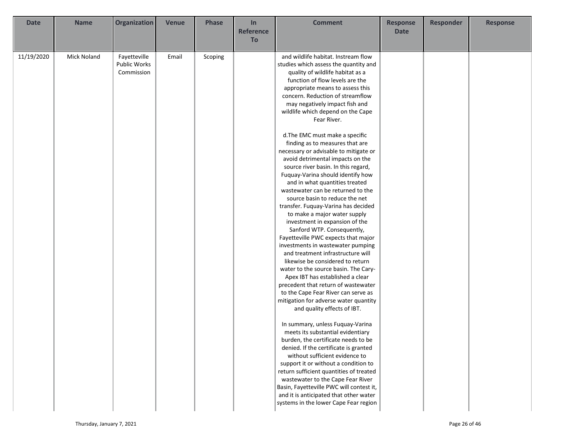| <b>Date</b> | <b>Name</b>        | Organization | <b>Venue</b> | <b>Phase</b> | In               | <b>Comment</b>                           | <b>Response</b> | <b>Responder</b> | <b>Response</b> |
|-------------|--------------------|--------------|--------------|--------------|------------------|------------------------------------------|-----------------|------------------|-----------------|
|             |                    |              |              |              | <b>Reference</b> |                                          | <b>Date</b>     |                  |                 |
|             |                    |              |              |              | To               |                                          |                 |                  |                 |
|             |                    |              |              |              |                  |                                          |                 |                  |                 |
| 11/19/2020  | <b>Mick Noland</b> | Fayetteville | Email        | Scoping      |                  | and wildlife habitat. Instream flow      |                 |                  |                 |
|             |                    | Public Works |              |              |                  | studies which assess the quantity and    |                 |                  |                 |
|             |                    | Commission   |              |              |                  | quality of wildlife habitat as a         |                 |                  |                 |
|             |                    |              |              |              |                  | function of flow levels are the          |                 |                  |                 |
|             |                    |              |              |              |                  | appropriate means to assess this         |                 |                  |                 |
|             |                    |              |              |              |                  | concern. Reduction of streamflow         |                 |                  |                 |
|             |                    |              |              |              |                  | may negatively impact fish and           |                 |                  |                 |
|             |                    |              |              |              |                  | wildlife which depend on the Cape        |                 |                  |                 |
|             |                    |              |              |              |                  | Fear River.                              |                 |                  |                 |
|             |                    |              |              |              |                  |                                          |                 |                  |                 |
|             |                    |              |              |              |                  | d. The EMC must make a specific          |                 |                  |                 |
|             |                    |              |              |              |                  | finding as to measures that are          |                 |                  |                 |
|             |                    |              |              |              |                  | necessary or advisable to mitigate or    |                 |                  |                 |
|             |                    |              |              |              |                  | avoid detrimental impacts on the         |                 |                  |                 |
|             |                    |              |              |              |                  | source river basin. In this regard,      |                 |                  |                 |
|             |                    |              |              |              |                  | Fuquay-Varina should identify how        |                 |                  |                 |
|             |                    |              |              |              |                  | and in what quantities treated           |                 |                  |                 |
|             |                    |              |              |              |                  | wastewater can be returned to the        |                 |                  |                 |
|             |                    |              |              |              |                  | source basin to reduce the net           |                 |                  |                 |
|             |                    |              |              |              |                  | transfer. Fuquay-Varina has decided      |                 |                  |                 |
|             |                    |              |              |              |                  | to make a major water supply             |                 |                  |                 |
|             |                    |              |              |              |                  | investment in expansion of the           |                 |                  |                 |
|             |                    |              |              |              |                  | Sanford WTP. Consequently,               |                 |                  |                 |
|             |                    |              |              |              |                  | Fayetteville PWC expects that major      |                 |                  |                 |
|             |                    |              |              |              |                  | investments in wastewater pumping        |                 |                  |                 |
|             |                    |              |              |              |                  | and treatment infrastructure will        |                 |                  |                 |
|             |                    |              |              |              |                  | likewise be considered to return         |                 |                  |                 |
|             |                    |              |              |              |                  | water to the source basin. The Cary-     |                 |                  |                 |
|             |                    |              |              |              |                  | Apex IBT has established a clear         |                 |                  |                 |
|             |                    |              |              |              |                  | precedent that return of wastewater      |                 |                  |                 |
|             |                    |              |              |              |                  | to the Cape Fear River can serve as      |                 |                  |                 |
|             |                    |              |              |              |                  | mitigation for adverse water quantity    |                 |                  |                 |
|             |                    |              |              |              |                  | and quality effects of IBT.              |                 |                  |                 |
|             |                    |              |              |              |                  |                                          |                 |                  |                 |
|             |                    |              |              |              |                  | In summary, unless Fuquay-Varina         |                 |                  |                 |
|             |                    |              |              |              |                  | meets its substantial evidentiary        |                 |                  |                 |
|             |                    |              |              |              |                  | burden, the certificate needs to be      |                 |                  |                 |
|             |                    |              |              |              |                  | denied. If the certificate is granted    |                 |                  |                 |
|             |                    |              |              |              |                  | without sufficient evidence to           |                 |                  |                 |
|             |                    |              |              |              |                  | support it or without a condition to     |                 |                  |                 |
|             |                    |              |              |              |                  | return sufficient quantities of treated  |                 |                  |                 |
|             |                    |              |              |              |                  | wastewater to the Cape Fear River        |                 |                  |                 |
|             |                    |              |              |              |                  | Basin, Fayetteville PWC will contest it, |                 |                  |                 |
|             |                    |              |              |              |                  | and it is anticipated that other water   |                 |                  |                 |
|             |                    |              |              |              |                  | systems in the lower Cape Fear region    |                 |                  |                 |
|             |                    |              |              |              |                  |                                          |                 |                  |                 |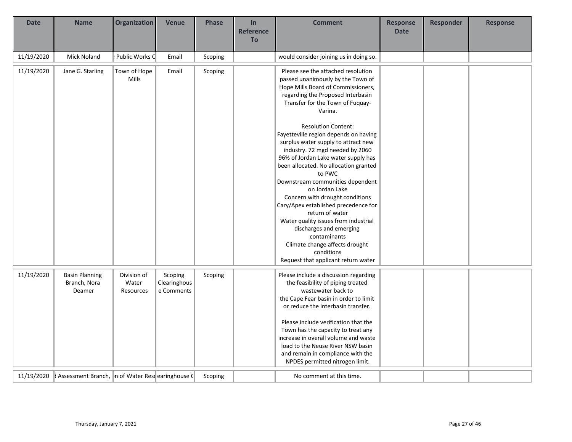| <b>Date</b> | <b>Name</b>                                        | <b>Organization</b> | <b>Venue</b> | <b>Phase</b> | In               | <b>Comment</b>                                                               | <b>Response</b> | <b>Responder</b> | <b>Response</b> |
|-------------|----------------------------------------------------|---------------------|--------------|--------------|------------------|------------------------------------------------------------------------------|-----------------|------------------|-----------------|
|             |                                                    |                     |              |              | <b>Reference</b> |                                                                              | <b>Date</b>     |                  |                 |
|             |                                                    |                     |              |              | <b>To</b>        |                                                                              |                 |                  |                 |
| 11/19/2020  | <b>Mick Noland</b>                                 | Public Works C      | Email        | Scoping      |                  | would consider joining us in doing so.                                       |                 |                  |                 |
| 11/19/2020  | Jane G. Starling                                   | Town of Hope        | Email        | Scoping      |                  | Please see the attached resolution                                           |                 |                  |                 |
|             |                                                    | Mills               |              |              |                  | passed unanimously by the Town of                                            |                 |                  |                 |
|             |                                                    |                     |              |              |                  | Hope Mills Board of Commissioners,                                           |                 |                  |                 |
|             |                                                    |                     |              |              |                  | regarding the Proposed Interbasin                                            |                 |                  |                 |
|             |                                                    |                     |              |              |                  | Transfer for the Town of Fuquay-                                             |                 |                  |                 |
|             |                                                    |                     |              |              |                  | Varina.                                                                      |                 |                  |                 |
|             |                                                    |                     |              |              |                  | <b>Resolution Content:</b>                                                   |                 |                  |                 |
|             |                                                    |                     |              |              |                  | Fayetteville region depends on having                                        |                 |                  |                 |
|             |                                                    |                     |              |              |                  | surplus water supply to attract new                                          |                 |                  |                 |
|             |                                                    |                     |              |              |                  | industry. 72 mgd needed by 2060                                              |                 |                  |                 |
|             |                                                    |                     |              |              |                  | 96% of Jordan Lake water supply has<br>been allocated. No allocation granted |                 |                  |                 |
|             |                                                    |                     |              |              |                  | to PWC                                                                       |                 |                  |                 |
|             |                                                    |                     |              |              |                  | Downstream communities dependent                                             |                 |                  |                 |
|             |                                                    |                     |              |              |                  | on Jordan Lake                                                               |                 |                  |                 |
|             |                                                    |                     |              |              |                  | Concern with drought conditions                                              |                 |                  |                 |
|             |                                                    |                     |              |              |                  | Cary/Apex established precedence for                                         |                 |                  |                 |
|             |                                                    |                     |              |              |                  | return of water                                                              |                 |                  |                 |
|             |                                                    |                     |              |              |                  | Water quality issues from industrial                                         |                 |                  |                 |
|             |                                                    |                     |              |              |                  | discharges and emerging                                                      |                 |                  |                 |
|             |                                                    |                     |              |              |                  | contaminants                                                                 |                 |                  |                 |
|             |                                                    |                     |              |              |                  | Climate change affects drought<br>conditions                                 |                 |                  |                 |
|             |                                                    |                     |              |              |                  | Request that applicant return water                                          |                 |                  |                 |
|             |                                                    |                     |              |              |                  |                                                                              |                 |                  |                 |
| 11/19/2020  | <b>Basin Planning</b>                              | Division of         | Scoping      | Scoping      |                  | Please include a discussion regarding                                        |                 |                  |                 |
|             | Branch, Nora                                       | Water               | Clearinghous |              |                  | the feasibility of piping treated                                            |                 |                  |                 |
|             | Deamer                                             | Resources           | e Comments   |              |                  | wastewater back to                                                           |                 |                  |                 |
|             |                                                    |                     |              |              |                  | the Cape Fear basin in order to limit                                        |                 |                  |                 |
|             |                                                    |                     |              |              |                  | or reduce the interbasin transfer.                                           |                 |                  |                 |
|             |                                                    |                     |              |              |                  | Please include verification that the                                         |                 |                  |                 |
|             |                                                    |                     |              |              |                  | Town has the capacity to treat any                                           |                 |                  |                 |
|             |                                                    |                     |              |              |                  | increase in overall volume and waste                                         |                 |                  |                 |
|             |                                                    |                     |              |              |                  | load to the Neuse River NSW basin                                            |                 |                  |                 |
|             |                                                    |                     |              |              |                  | and remain in compliance with the                                            |                 |                  |                 |
|             |                                                    |                     |              |              |                  | NPDES permitted nitrogen limit.                                              |                 |                  |                 |
| 11/19/2020  | I Assessment Branch, n of Water Resilearinghouse ( |                     |              | Scoping      |                  | No comment at this time.                                                     |                 |                  |                 |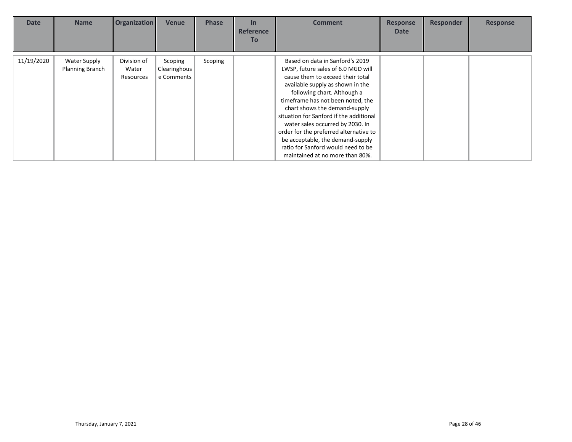| <b>Date</b> | <b>Name</b>                            | <b>Organization</b>               | Venue                                 | <b>Phase</b> | $\ln$<br><b>Reference</b><br>To | <b>Comment</b>                                                                                                                                                                                                                                                                                                                                                                                                                                                                           | <b>Response</b><br><b>Date</b> | <b>Responder</b> | <b>Response</b> |
|-------------|----------------------------------------|-----------------------------------|---------------------------------------|--------------|---------------------------------|------------------------------------------------------------------------------------------------------------------------------------------------------------------------------------------------------------------------------------------------------------------------------------------------------------------------------------------------------------------------------------------------------------------------------------------------------------------------------------------|--------------------------------|------------------|-----------------|
| 11/19/2020  | Water Supply<br><b>Planning Branch</b> | Division of<br>Water<br>Resources | Scoping<br>Clearinghous<br>e Comments | Scoping      |                                 | Based on data in Sanford's 2019<br>LWSP, future sales of 6.0 MGD will<br>cause them to exceed their total<br>available supply as shown in the<br>following chart. Although a<br>timeframe has not been noted, the<br>chart shows the demand-supply<br>situation for Sanford if the additional<br>water sales occurred by 2030. In<br>order for the preferred alternative to<br>be acceptable, the demand-supply<br>ratio for Sanford would need to be<br>maintained at no more than 80%. |                                |                  |                 |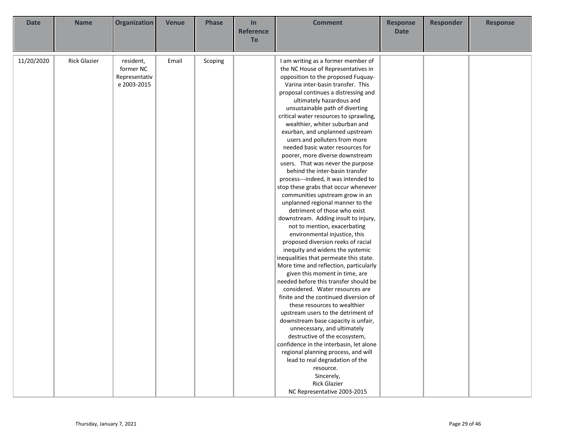| <b>Date</b> | <b>Name</b>         | <b>Organization</b>    | <b>Venue</b> | <b>Phase</b> | In<br><b>Reference</b> | <b>Comment</b>                                                           | <b>Response</b><br><b>Date</b> | <b>Responder</b> | <b>Response</b> |
|-------------|---------------------|------------------------|--------------|--------------|------------------------|--------------------------------------------------------------------------|--------------------------------|------------------|-----------------|
|             |                     |                        |              |              | <b>To</b>              |                                                                          |                                |                  |                 |
|             |                     |                        |              |              |                        |                                                                          |                                |                  |                 |
| 11/20/2020  | <b>Rick Glazier</b> | resident,<br>former NC | Email        | Scoping      |                        | I am writing as a former member of<br>the NC House of Representatives in |                                |                  |                 |
|             |                     | Representativ          |              |              |                        | opposition to the proposed Fuquay-                                       |                                |                  |                 |
|             |                     | e 2003-2015            |              |              |                        | Varina inter-basin transfer. This                                        |                                |                  |                 |
|             |                     |                        |              |              |                        | proposal continues a distressing and                                     |                                |                  |                 |
|             |                     |                        |              |              |                        | ultimately hazardous and                                                 |                                |                  |                 |
|             |                     |                        |              |              |                        | unsustainable path of diverting                                          |                                |                  |                 |
|             |                     |                        |              |              |                        | critical water resources to sprawling,                                   |                                |                  |                 |
|             |                     |                        |              |              |                        | wealthier, whiter suburban and                                           |                                |                  |                 |
|             |                     |                        |              |              |                        | exurban, and unplanned upstream                                          |                                |                  |                 |
|             |                     |                        |              |              |                        | users and polluters from more                                            |                                |                  |                 |
|             |                     |                        |              |              |                        | needed basic water resources for                                         |                                |                  |                 |
|             |                     |                        |              |              |                        | poorer, more diverse downstream                                          |                                |                  |                 |
|             |                     |                        |              |              |                        | users. That was never the purpose<br>behind the inter-basin transfer     |                                |                  |                 |
|             |                     |                        |              |              |                        | process---indeed, it was intended to                                     |                                |                  |                 |
|             |                     |                        |              |              |                        | stop these grabs that occur whenever                                     |                                |                  |                 |
|             |                     |                        |              |              |                        | communities upstream grow in an                                          |                                |                  |                 |
|             |                     |                        |              |              |                        | unplanned regional manner to the                                         |                                |                  |                 |
|             |                     |                        |              |              |                        | detriment of those who exist                                             |                                |                  |                 |
|             |                     |                        |              |              |                        | downstream. Adding insult to injury,                                     |                                |                  |                 |
|             |                     |                        |              |              |                        | not to mention, exacerbating                                             |                                |                  |                 |
|             |                     |                        |              |              |                        | environmental injustice, this                                            |                                |                  |                 |
|             |                     |                        |              |              |                        | proposed diversion reeks of racial                                       |                                |                  |                 |
|             |                     |                        |              |              |                        | inequity and widens the systemic                                         |                                |                  |                 |
|             |                     |                        |              |              |                        | inequalities that permeate this state.                                   |                                |                  |                 |
|             |                     |                        |              |              |                        | More time and reflection, particularly                                   |                                |                  |                 |
|             |                     |                        |              |              |                        | given this moment in time, are                                           |                                |                  |                 |
|             |                     |                        |              |              |                        | needed before this transfer should be                                    |                                |                  |                 |
|             |                     |                        |              |              |                        | considered. Water resources are<br>finite and the continued diversion of |                                |                  |                 |
|             |                     |                        |              |              |                        | these resources to wealthier                                             |                                |                  |                 |
|             |                     |                        |              |              |                        | upstream users to the detriment of                                       |                                |                  |                 |
|             |                     |                        |              |              |                        | downstream base capacity is unfair,                                      |                                |                  |                 |
|             |                     |                        |              |              |                        | unnecessary, and ultimately                                              |                                |                  |                 |
|             |                     |                        |              |              |                        | destructive of the ecosystem,                                            |                                |                  |                 |
|             |                     |                        |              |              |                        | confidence in the interbasin, let alone                                  |                                |                  |                 |
|             |                     |                        |              |              |                        | regional planning process, and will                                      |                                |                  |                 |
|             |                     |                        |              |              |                        | lead to real degradation of the                                          |                                |                  |                 |
|             |                     |                        |              |              |                        | resource.                                                                |                                |                  |                 |
|             |                     |                        |              |              |                        | Sincerely,                                                               |                                |                  |                 |
|             |                     |                        |              |              |                        | <b>Rick Glazier</b>                                                      |                                |                  |                 |
|             |                     |                        |              |              |                        | NC Representative 2003-2015                                              |                                |                  |                 |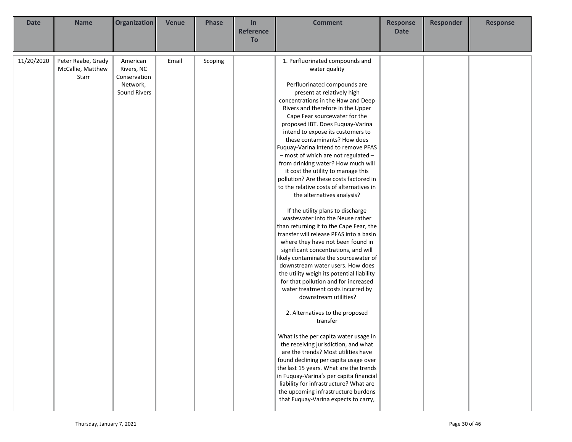| <b>Date</b> | <b>Name</b>                                      | Organization                                                       | <b>Venue</b> | <b>Phase</b> | In<br><b>Reference</b> | <b>Comment</b>                                                                                                                                                                                                                                                                                                                                                                                                                                                                                                                                                                                                                                                                                                                                                                                                                                                                                                                                                                                                                                                                                                                                                                                                                                                                                                                                                                                                                                                                                                              | <b>Response</b><br><b>Date</b> | <b>Responder</b> | <b>Response</b> |
|-------------|--------------------------------------------------|--------------------------------------------------------------------|--------------|--------------|------------------------|-----------------------------------------------------------------------------------------------------------------------------------------------------------------------------------------------------------------------------------------------------------------------------------------------------------------------------------------------------------------------------------------------------------------------------------------------------------------------------------------------------------------------------------------------------------------------------------------------------------------------------------------------------------------------------------------------------------------------------------------------------------------------------------------------------------------------------------------------------------------------------------------------------------------------------------------------------------------------------------------------------------------------------------------------------------------------------------------------------------------------------------------------------------------------------------------------------------------------------------------------------------------------------------------------------------------------------------------------------------------------------------------------------------------------------------------------------------------------------------------------------------------------------|--------------------------------|------------------|-----------------|
|             |                                                  |                                                                    |              |              | To                     |                                                                                                                                                                                                                                                                                                                                                                                                                                                                                                                                                                                                                                                                                                                                                                                                                                                                                                                                                                                                                                                                                                                                                                                                                                                                                                                                                                                                                                                                                                                             |                                |                  |                 |
| 11/20/2020  | Peter Raabe, Grady<br>McCallie, Matthew<br>Starr | American<br>Rivers, NC<br>Conservation<br>Network,<br>Sound Rivers | Email        | Scoping      |                        | 1. Perfluorinated compounds and<br>water quality<br>Perfluorinated compounds are<br>present at relatively high<br>concentrations in the Haw and Deep<br>Rivers and therefore in the Upper<br>Cape Fear sourcewater for the<br>proposed IBT. Does Fuquay-Varina<br>intend to expose its customers to<br>these contaminants? How does<br>Fuquay-Varina intend to remove PFAS<br>- most of which are not regulated -<br>from drinking water? How much will<br>it cost the utility to manage this<br>pollution? Are these costs factored in<br>to the relative costs of alternatives in<br>the alternatives analysis?<br>If the utility plans to discharge<br>wastewater into the Neuse rather<br>than returning it to the Cape Fear, the<br>transfer will release PFAS into a basin<br>where they have not been found in<br>significant concentrations, and will<br>likely contaminate the sourcewater of<br>downstream water users. How does<br>the utility weigh its potential liability<br>for that pollution and for increased<br>water treatment costs incurred by<br>downstream utilities?<br>2. Alternatives to the proposed<br>transfer<br>What is the per capita water usage in<br>the receiving jurisdiction, and what<br>are the trends? Most utilities have<br>found declining per capita usage over<br>the last 15 years. What are the trends<br>in Fuquay-Varina's per capita financial<br>liability for infrastructure? What are<br>the upcoming infrastructure burdens<br>that Fuquay-Varina expects to carry, |                                |                  |                 |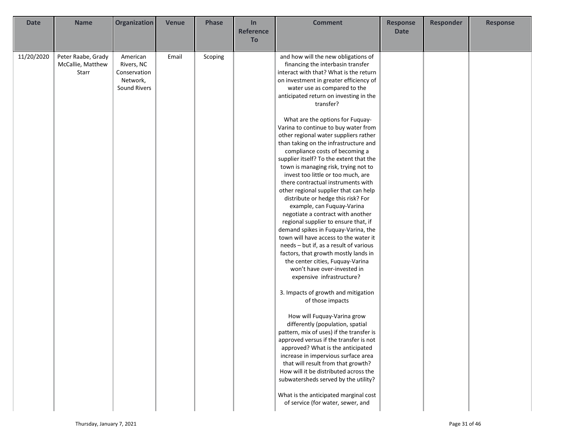| <b>Date</b> | <b>Name</b>        | <b>Organization</b> | <b>Venue</b> | <b>Phase</b> | In               | <b>Comment</b>                           | <b>Response</b> | Responder | <b>Response</b> |
|-------------|--------------------|---------------------|--------------|--------------|------------------|------------------------------------------|-----------------|-----------|-----------------|
|             |                    |                     |              |              | <b>Reference</b> |                                          | <b>Date</b>     |           |                 |
|             |                    |                     |              |              | <b>To</b>        |                                          |                 |           |                 |
|             |                    |                     |              |              |                  |                                          |                 |           |                 |
| 11/20/2020  | Peter Raabe, Grady | American            | Email        | Scoping      |                  | and how will the new obligations of      |                 |           |                 |
|             | McCallie, Matthew  | Rivers, NC          |              |              |                  | financing the interbasin transfer        |                 |           |                 |
|             | Starr              | Conservation        |              |              |                  | interact with that? What is the return   |                 |           |                 |
|             |                    | Network,            |              |              |                  | on investment in greater efficiency of   |                 |           |                 |
|             |                    | Sound Rivers        |              |              |                  | water use as compared to the             |                 |           |                 |
|             |                    |                     |              |              |                  | anticipated return on investing in the   |                 |           |                 |
|             |                    |                     |              |              |                  | transfer?                                |                 |           |                 |
|             |                    |                     |              |              |                  |                                          |                 |           |                 |
|             |                    |                     |              |              |                  | What are the options for Fuquay-         |                 |           |                 |
|             |                    |                     |              |              |                  | Varina to continue to buy water from     |                 |           |                 |
|             |                    |                     |              |              |                  | other regional water suppliers rather    |                 |           |                 |
|             |                    |                     |              |              |                  | than taking on the infrastructure and    |                 |           |                 |
|             |                    |                     |              |              |                  | compliance costs of becoming a           |                 |           |                 |
|             |                    |                     |              |              |                  | supplier itself? To the extent that the  |                 |           |                 |
|             |                    |                     |              |              |                  | town is managing risk, trying not to     |                 |           |                 |
|             |                    |                     |              |              |                  | invest too little or too much, are       |                 |           |                 |
|             |                    |                     |              |              |                  | there contractual instruments with       |                 |           |                 |
|             |                    |                     |              |              |                  | other regional supplier that can help    |                 |           |                 |
|             |                    |                     |              |              |                  | distribute or hedge this risk? For       |                 |           |                 |
|             |                    |                     |              |              |                  | example, can Fuquay-Varina               |                 |           |                 |
|             |                    |                     |              |              |                  | negotiate a contract with another        |                 |           |                 |
|             |                    |                     |              |              |                  | regional supplier to ensure that, if     |                 |           |                 |
|             |                    |                     |              |              |                  | demand spikes in Fuquay-Varina, the      |                 |           |                 |
|             |                    |                     |              |              |                  | town will have access to the water it    |                 |           |                 |
|             |                    |                     |              |              |                  | needs - but if, as a result of various   |                 |           |                 |
|             |                    |                     |              |              |                  | factors, that growth mostly lands in     |                 |           |                 |
|             |                    |                     |              |              |                  | the center cities, Fuquay-Varina         |                 |           |                 |
|             |                    |                     |              |              |                  | won't have over-invested in              |                 |           |                 |
|             |                    |                     |              |              |                  | expensive infrastructure?                |                 |           |                 |
|             |                    |                     |              |              |                  |                                          |                 |           |                 |
|             |                    |                     |              |              |                  | 3. Impacts of growth and mitigation      |                 |           |                 |
|             |                    |                     |              |              |                  | of those impacts                         |                 |           |                 |
|             |                    |                     |              |              |                  |                                          |                 |           |                 |
|             |                    |                     |              |              |                  | How will Fuquay-Varina grow              |                 |           |                 |
|             |                    |                     |              |              |                  | differently (population, spatial         |                 |           |                 |
|             |                    |                     |              |              |                  | pattern, mix of uses) if the transfer is |                 |           |                 |
|             |                    |                     |              |              |                  | approved versus if the transfer is not   |                 |           |                 |
|             |                    |                     |              |              |                  | approved? What is the anticipated        |                 |           |                 |
|             |                    |                     |              |              |                  | increase in impervious surface area      |                 |           |                 |
|             |                    |                     |              |              |                  | that will result from that growth?       |                 |           |                 |
|             |                    |                     |              |              |                  | How will it be distributed across the    |                 |           |                 |
|             |                    |                     |              |              |                  | subwatersheds served by the utility?     |                 |           |                 |
|             |                    |                     |              |              |                  |                                          |                 |           |                 |
|             |                    |                     |              |              |                  | What is the anticipated marginal cost    |                 |           |                 |
|             |                    |                     |              |              |                  | of service (for water, sewer, and        |                 |           |                 |
|             |                    |                     |              |              |                  |                                          |                 |           |                 |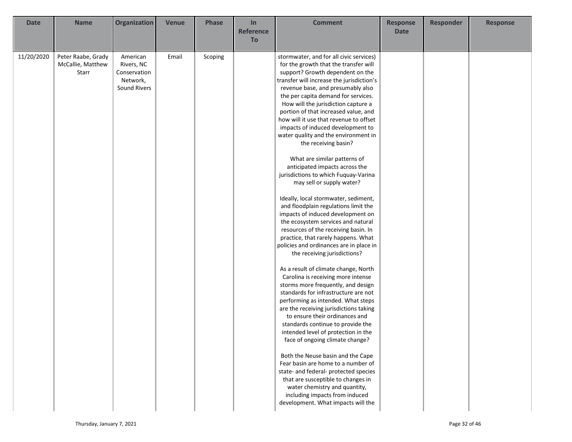| <b>Date</b> | <b>Name</b>        | <b>Organization</b> | <b>Venue</b> | <b>Phase</b> | In               | <b>Comment</b>                                                               | <b>Response</b> | Responder | <b>Response</b> |
|-------------|--------------------|---------------------|--------------|--------------|------------------|------------------------------------------------------------------------------|-----------------|-----------|-----------------|
|             |                    |                     |              |              | <b>Reference</b> |                                                                              | <b>Date</b>     |           |                 |
|             |                    |                     |              |              | To               |                                                                              |                 |           |                 |
|             |                    |                     |              |              |                  |                                                                              |                 |           |                 |
| 11/20/2020  | Peter Raabe, Grady | American            | Email        | Scoping      |                  | stormwater, and for all civic services)                                      |                 |           |                 |
|             | McCallie, Matthew  | Rivers, NC          |              |              |                  | for the growth that the transfer will                                        |                 |           |                 |
|             | Starr              | Conservation        |              |              |                  | support? Growth dependent on the                                             |                 |           |                 |
|             |                    | Network,            |              |              |                  | transfer will increase the jurisdiction's                                    |                 |           |                 |
|             |                    | Sound Rivers        |              |              |                  | revenue base, and presumably also                                            |                 |           |                 |
|             |                    |                     |              |              |                  | the per capita demand for services.                                          |                 |           |                 |
|             |                    |                     |              |              |                  | How will the jurisdiction capture a                                          |                 |           |                 |
|             |                    |                     |              |              |                  | portion of that increased value, and                                         |                 |           |                 |
|             |                    |                     |              |              |                  | how will it use that revenue to offset                                       |                 |           |                 |
|             |                    |                     |              |              |                  | impacts of induced development to                                            |                 |           |                 |
|             |                    |                     |              |              |                  | water quality and the environment in                                         |                 |           |                 |
|             |                    |                     |              |              |                  | the receiving basin?                                                         |                 |           |                 |
|             |                    |                     |              |              |                  |                                                                              |                 |           |                 |
|             |                    |                     |              |              |                  | What are similar patterns of                                                 |                 |           |                 |
|             |                    |                     |              |              |                  | anticipated impacts across the                                               |                 |           |                 |
|             |                    |                     |              |              |                  | jurisdictions to which Fuquay-Varina                                         |                 |           |                 |
|             |                    |                     |              |              |                  | may sell or supply water?                                                    |                 |           |                 |
|             |                    |                     |              |              |                  | Ideally, local stormwater, sediment,                                         |                 |           |                 |
|             |                    |                     |              |              |                  | and floodplain regulations limit the                                         |                 |           |                 |
|             |                    |                     |              |              |                  | impacts of induced development on                                            |                 |           |                 |
|             |                    |                     |              |              |                  | the ecosystem services and natural                                           |                 |           |                 |
|             |                    |                     |              |              |                  | resources of the receiving basin. In                                         |                 |           |                 |
|             |                    |                     |              |              |                  | practice, that rarely happens. What                                          |                 |           |                 |
|             |                    |                     |              |              |                  | policies and ordinances are in place in                                      |                 |           |                 |
|             |                    |                     |              |              |                  | the receiving jurisdictions?                                                 |                 |           |                 |
|             |                    |                     |              |              |                  |                                                                              |                 |           |                 |
|             |                    |                     |              |              |                  | As a result of climate change, North                                         |                 |           |                 |
|             |                    |                     |              |              |                  | Carolina is receiving more intense                                           |                 |           |                 |
|             |                    |                     |              |              |                  | storms more frequently, and design                                           |                 |           |                 |
|             |                    |                     |              |              |                  | standards for infrastructure are not                                         |                 |           |                 |
|             |                    |                     |              |              |                  | performing as intended. What steps<br>are the receiving jurisdictions taking |                 |           |                 |
|             |                    |                     |              |              |                  | to ensure their ordinances and                                               |                 |           |                 |
|             |                    |                     |              |              |                  | standards continue to provide the                                            |                 |           |                 |
|             |                    |                     |              |              |                  | intended level of protection in the                                          |                 |           |                 |
|             |                    |                     |              |              |                  | face of ongoing climate change?                                              |                 |           |                 |
|             |                    |                     |              |              |                  |                                                                              |                 |           |                 |
|             |                    |                     |              |              |                  | Both the Neuse basin and the Cape                                            |                 |           |                 |
|             |                    |                     |              |              |                  | Fear basin are home to a number of                                           |                 |           |                 |
|             |                    |                     |              |              |                  | state- and federal- protected species                                        |                 |           |                 |
|             |                    |                     |              |              |                  | that are susceptible to changes in                                           |                 |           |                 |
|             |                    |                     |              |              |                  | water chemistry and quantity,                                                |                 |           |                 |
|             |                    |                     |              |              |                  | including impacts from induced                                               |                 |           |                 |
|             |                    |                     |              |              |                  | development. What impacts will the                                           |                 |           |                 |
|             |                    |                     |              |              |                  |                                                                              |                 |           |                 |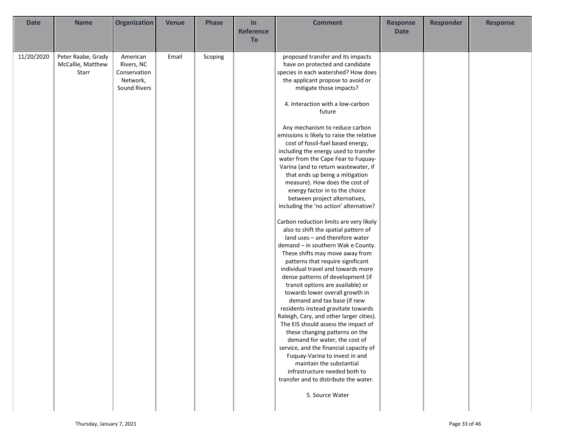| <b>Date</b> | <b>Name</b>        | Organization | <b>Venue</b> | <b>Phase</b> | In               | <b>Comment</b>                            | <b>Response</b> | <b>Responder</b> | <b>Response</b> |
|-------------|--------------------|--------------|--------------|--------------|------------------|-------------------------------------------|-----------------|------------------|-----------------|
|             |                    |              |              |              | <b>Reference</b> |                                           | <b>Date</b>     |                  |                 |
|             |                    |              |              |              | To               |                                           |                 |                  |                 |
|             |                    |              |              |              |                  |                                           |                 |                  |                 |
| 11/20/2020  | Peter Raabe, Grady | American     | Email        | Scoping      |                  | proposed transfer and its impacts         |                 |                  |                 |
|             | McCallie, Matthew  | Rivers, NC   |              |              |                  | have on protected and candidate           |                 |                  |                 |
|             | Starr              | Conservation |              |              |                  | species in each watershed? How does       |                 |                  |                 |
|             |                    | Network,     |              |              |                  | the applicant propose to avoid or         |                 |                  |                 |
|             |                    | Sound Rivers |              |              |                  | mitigate those impacts?                   |                 |                  |                 |
|             |                    |              |              |              |                  |                                           |                 |                  |                 |
|             |                    |              |              |              |                  | 4. Interaction with a low-carbon          |                 |                  |                 |
|             |                    |              |              |              |                  | future                                    |                 |                  |                 |
|             |                    |              |              |              |                  |                                           |                 |                  |                 |
|             |                    |              |              |              |                  | Any mechanism to reduce carbon            |                 |                  |                 |
|             |                    |              |              |              |                  | emissions is likely to raise the relative |                 |                  |                 |
|             |                    |              |              |              |                  | cost of fossil-fuel based energy,         |                 |                  |                 |
|             |                    |              |              |              |                  | including the energy used to transfer     |                 |                  |                 |
|             |                    |              |              |              |                  | water from the Cape Fear to Fuquay-       |                 |                  |                 |
|             |                    |              |              |              |                  | Varina (and to return wastewater, if      |                 |                  |                 |
|             |                    |              |              |              |                  | that ends up being a mitigation           |                 |                  |                 |
|             |                    |              |              |              |                  | measure). How does the cost of            |                 |                  |                 |
|             |                    |              |              |              |                  | energy factor in to the choice            |                 |                  |                 |
|             |                    |              |              |              |                  | between project alternatives,             |                 |                  |                 |
|             |                    |              |              |              |                  | including the 'no action' alternative?    |                 |                  |                 |
|             |                    |              |              |              |                  | Carbon reduction limits are very likely   |                 |                  |                 |
|             |                    |              |              |              |                  | also to shift the spatial pattern of      |                 |                  |                 |
|             |                    |              |              |              |                  | land uses - and therefore water           |                 |                  |                 |
|             |                    |              |              |              |                  | demand - in southern Wak e County.        |                 |                  |                 |
|             |                    |              |              |              |                  | These shifts may move away from           |                 |                  |                 |
|             |                    |              |              |              |                  | patterns that require significant         |                 |                  |                 |
|             |                    |              |              |              |                  | individual travel and towards more        |                 |                  |                 |
|             |                    |              |              |              |                  | dense patterns of development (if         |                 |                  |                 |
|             |                    |              |              |              |                  | transit options are available) or         |                 |                  |                 |
|             |                    |              |              |              |                  | towards lower overall growth in           |                 |                  |                 |
|             |                    |              |              |              |                  | demand and tax base (if new               |                 |                  |                 |
|             |                    |              |              |              |                  | residents instead gravitate towards       |                 |                  |                 |
|             |                    |              |              |              |                  | Raleigh, Cary, and other larger cities).  |                 |                  |                 |
|             |                    |              |              |              |                  | The EIS should assess the impact of       |                 |                  |                 |
|             |                    |              |              |              |                  | these changing patterns on the            |                 |                  |                 |
|             |                    |              |              |              |                  | demand for water, the cost of             |                 |                  |                 |
|             |                    |              |              |              |                  | service, and the financial capacity of    |                 |                  |                 |
|             |                    |              |              |              |                  | Fuquay-Varina to invest in and            |                 |                  |                 |
|             |                    |              |              |              |                  | maintain the substantial                  |                 |                  |                 |
|             |                    |              |              |              |                  | infrastructure needed both to             |                 |                  |                 |
|             |                    |              |              |              |                  | transfer and to distribute the water.     |                 |                  |                 |
|             |                    |              |              |              |                  | 5. Source Water                           |                 |                  |                 |
|             |                    |              |              |              |                  |                                           |                 |                  |                 |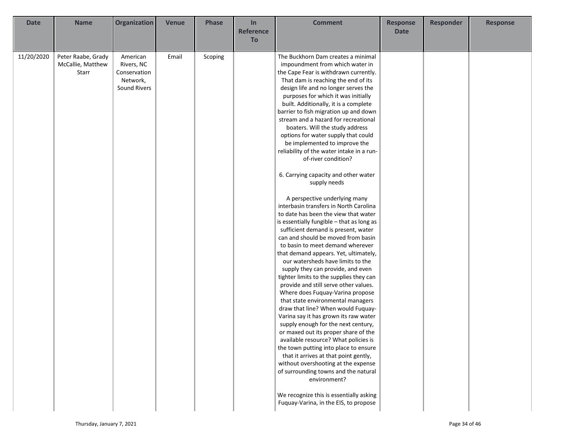| <b>Date</b> | <b>Name</b>        | Organization | <b>Venue</b> | <b>Phase</b> | In               | <b>Comment</b>                            | <b>Response</b> | <b>Responder</b> | <b>Response</b> |
|-------------|--------------------|--------------|--------------|--------------|------------------|-------------------------------------------|-----------------|------------------|-----------------|
|             |                    |              |              |              | <b>Reference</b> |                                           | <b>Date</b>     |                  |                 |
|             |                    |              |              |              | To               |                                           |                 |                  |                 |
|             |                    |              |              |              |                  |                                           |                 |                  |                 |
| 11/20/2020  | Peter Raabe, Grady | American     | Email        | Scoping      |                  | The Buckhorn Dam creates a minimal        |                 |                  |                 |
|             | McCallie, Matthew  | Rivers, NC   |              |              |                  | impoundment from which water in           |                 |                  |                 |
|             | Starr              | Conservation |              |              |                  | the Cape Fear is withdrawn currently.     |                 |                  |                 |
|             |                    | Network,     |              |              |                  | That dam is reaching the end of its       |                 |                  |                 |
|             |                    | Sound Rivers |              |              |                  | design life and no longer serves the      |                 |                  |                 |
|             |                    |              |              |              |                  | purposes for which it was initially       |                 |                  |                 |
|             |                    |              |              |              |                  | built. Additionally, it is a complete     |                 |                  |                 |
|             |                    |              |              |              |                  | barrier to fish migration up and down     |                 |                  |                 |
|             |                    |              |              |              |                  | stream and a hazard for recreational      |                 |                  |                 |
|             |                    |              |              |              |                  | boaters. Will the study address           |                 |                  |                 |
|             |                    |              |              |              |                  | options for water supply that could       |                 |                  |                 |
|             |                    |              |              |              |                  | be implemented to improve the             |                 |                  |                 |
|             |                    |              |              |              |                  | reliability of the water intake in a run- |                 |                  |                 |
|             |                    |              |              |              |                  | of-river condition?                       |                 |                  |                 |
|             |                    |              |              |              |                  |                                           |                 |                  |                 |
|             |                    |              |              |              |                  | 6. Carrying capacity and other water      |                 |                  |                 |
|             |                    |              |              |              |                  |                                           |                 |                  |                 |
|             |                    |              |              |              |                  | supply needs                              |                 |                  |                 |
|             |                    |              |              |              |                  | A perspective underlying many             |                 |                  |                 |
|             |                    |              |              |              |                  | interbasin transfers in North Carolina    |                 |                  |                 |
|             |                    |              |              |              |                  | to date has been the view that water      |                 |                  |                 |
|             |                    |              |              |              |                  | is essentially fungible - that as long as |                 |                  |                 |
|             |                    |              |              |              |                  | sufficient demand is present, water       |                 |                  |                 |
|             |                    |              |              |              |                  | can and should be moved from basin        |                 |                  |                 |
|             |                    |              |              |              |                  | to basin to meet demand wherever          |                 |                  |                 |
|             |                    |              |              |              |                  | that demand appears. Yet, ultimately,     |                 |                  |                 |
|             |                    |              |              |              |                  | our watersheds have limits to the         |                 |                  |                 |
|             |                    |              |              |              |                  | supply they can provide, and even         |                 |                  |                 |
|             |                    |              |              |              |                  | tighter limits to the supplies they can   |                 |                  |                 |
|             |                    |              |              |              |                  | provide and still serve other values.     |                 |                  |                 |
|             |                    |              |              |              |                  | Where does Fuquay-Varina propose          |                 |                  |                 |
|             |                    |              |              |              |                  | that state environmental managers         |                 |                  |                 |
|             |                    |              |              |              |                  | draw that line? When would Fuquay-        |                 |                  |                 |
|             |                    |              |              |              |                  | Varina say it has grown its raw water     |                 |                  |                 |
|             |                    |              |              |              |                  | supply enough for the next century,       |                 |                  |                 |
|             |                    |              |              |              |                  | or maxed out its proper share of the      |                 |                  |                 |
|             |                    |              |              |              |                  | available resource? What policies is      |                 |                  |                 |
|             |                    |              |              |              |                  | the town putting into place to ensure     |                 |                  |                 |
|             |                    |              |              |              |                  | that it arrives at that point gently,     |                 |                  |                 |
|             |                    |              |              |              |                  | without overshooting at the expense       |                 |                  |                 |
|             |                    |              |              |              |                  | of surrounding towns and the natural      |                 |                  |                 |
|             |                    |              |              |              |                  | environment?                              |                 |                  |                 |
|             |                    |              |              |              |                  |                                           |                 |                  |                 |
|             |                    |              |              |              |                  | We recognize this is essentially asking   |                 |                  |                 |
|             |                    |              |              |              |                  | Fuquay-Varina, in the EIS, to propose     |                 |                  |                 |
|             |                    |              |              |              |                  |                                           |                 |                  |                 |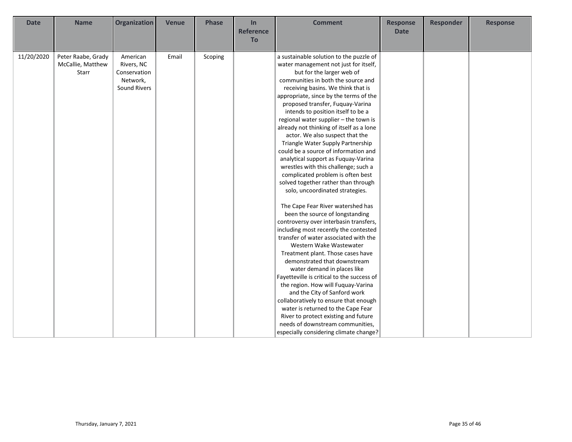| <b>Name</b><br><b>Date</b>                                     | <b>Organization</b>                                                       | <b>Venue</b> | <b>Phase</b> | In<br><b>Reference</b><br><b>To</b> | <b>Comment</b>                                                                                                                                                                                                                                                                                                                                                                                                                                                                                                                                                                                                                                                                                                                                                                                                                                                                                                                                                                                                                                                                                                                                                                                                                                                                                                                                                               | <b>Response</b><br><b>Date</b> | <b>Responder</b> | <b>Response</b> |
|----------------------------------------------------------------|---------------------------------------------------------------------------|--------------|--------------|-------------------------------------|------------------------------------------------------------------------------------------------------------------------------------------------------------------------------------------------------------------------------------------------------------------------------------------------------------------------------------------------------------------------------------------------------------------------------------------------------------------------------------------------------------------------------------------------------------------------------------------------------------------------------------------------------------------------------------------------------------------------------------------------------------------------------------------------------------------------------------------------------------------------------------------------------------------------------------------------------------------------------------------------------------------------------------------------------------------------------------------------------------------------------------------------------------------------------------------------------------------------------------------------------------------------------------------------------------------------------------------------------------------------------|--------------------------------|------------------|-----------------|
| 11/20/2020<br>Peter Raabe, Grady<br>McCallie, Matthew<br>Starr | American<br>Rivers, NC<br>Conservation<br>Network,<br><b>Sound Rivers</b> | Email        | Scoping      |                                     | a sustainable solution to the puzzle of<br>water management not just for itself,<br>but for the larger web of<br>communities in both the source and<br>receiving basins. We think that is<br>appropriate, since by the terms of the<br>proposed transfer, Fuquay-Varina<br>intends to position itself to be a<br>regional water supplier - the town is<br>already not thinking of itself as a lone<br>actor. We also suspect that the<br>Triangle Water Supply Partnership<br>could be a source of information and<br>analytical support as Fuquay-Varina<br>wrestles with this challenge; such a<br>complicated problem is often best<br>solved together rather than through<br>solo, uncoordinated strategies.<br>The Cape Fear River watershed has<br>been the source of longstanding<br>controversy over interbasin transfers,<br>including most recently the contested<br>transfer of water associated with the<br>Western Wake Wastewater<br>Treatment plant. Those cases have<br>demonstrated that downstream<br>water demand in places like<br>Fayetteville is critical to the success of<br>the region. How will Fuquay-Varina<br>and the City of Sanford work<br>collaboratively to ensure that enough<br>water is returned to the Cape Fear<br>River to protect existing and future<br>needs of downstream communities,<br>especially considering climate change? |                                |                  |                 |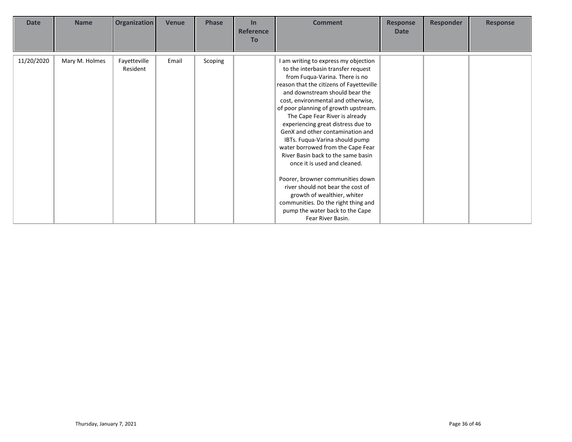| <b>Date</b> | <b>Name</b>    | <b>Organization</b>      | Venue | <b>Phase</b> | In<br><b>Reference</b><br><b>To</b> | <b>Comment</b>                                                                                                                                                                                                                                                                                                                                                                                                                                                                                                                                                                                                                                                                                                                           | <b>Response</b><br><b>Date</b> | <b>Responder</b> | <b>Response</b> |
|-------------|----------------|--------------------------|-------|--------------|-------------------------------------|------------------------------------------------------------------------------------------------------------------------------------------------------------------------------------------------------------------------------------------------------------------------------------------------------------------------------------------------------------------------------------------------------------------------------------------------------------------------------------------------------------------------------------------------------------------------------------------------------------------------------------------------------------------------------------------------------------------------------------------|--------------------------------|------------------|-----------------|
| 11/20/2020  | Mary M. Holmes | Fayetteville<br>Resident | Email | Scoping      |                                     | I am writing to express my objection<br>to the interbasin transfer request<br>from Fuqua-Varina. There is no<br>reason that the citizens of Fayetteville<br>and downstream should bear the<br>cost, environmental and otherwise,<br>of poor planning of growth upstream.<br>The Cape Fear River is already<br>experiencing great distress due to<br>GenX and other contamination and<br>IBTs. Fuqua-Varina should pump<br>water borrowed from the Cape Fear<br>River Basin back to the same basin<br>once it is used and cleaned.<br>Poorer, browner communities down<br>river should not bear the cost of<br>growth of wealthier, whiter<br>communities. Do the right thing and<br>pump the water back to the Cape<br>Fear River Basin. |                                |                  |                 |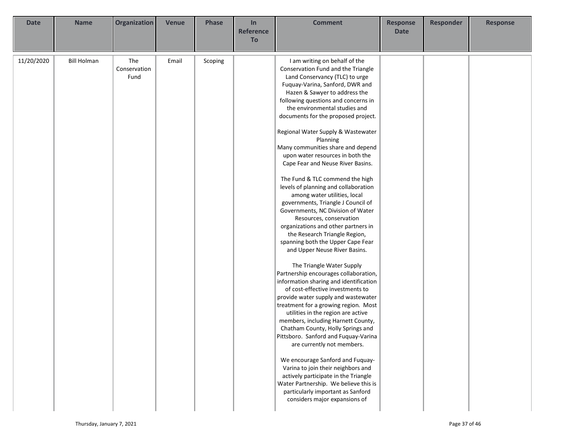| Organization<br><b>Phase</b><br><b>Responder</b><br><b>Date</b><br><b>Name</b><br><b>Venue</b><br>In<br><b>Comment</b><br><b>Response</b><br><b>Reference</b><br><b>Date</b><br>To                                                                                                                                                                                                                                                                                                                                                                                                                                                                                                                                                                                                                                                                                                                                                                                                                                                                                                                                                                                                                                                                                                                                                                                                                                                                                                                                                                                        | <b>Response</b> |
|---------------------------------------------------------------------------------------------------------------------------------------------------------------------------------------------------------------------------------------------------------------------------------------------------------------------------------------------------------------------------------------------------------------------------------------------------------------------------------------------------------------------------------------------------------------------------------------------------------------------------------------------------------------------------------------------------------------------------------------------------------------------------------------------------------------------------------------------------------------------------------------------------------------------------------------------------------------------------------------------------------------------------------------------------------------------------------------------------------------------------------------------------------------------------------------------------------------------------------------------------------------------------------------------------------------------------------------------------------------------------------------------------------------------------------------------------------------------------------------------------------------------------------------------------------------------------|-----------------|
|                                                                                                                                                                                                                                                                                                                                                                                                                                                                                                                                                                                                                                                                                                                                                                                                                                                                                                                                                                                                                                                                                                                                                                                                                                                                                                                                                                                                                                                                                                                                                                           |                 |
| 11/20/2020<br><b>Bill Holman</b><br>The<br>I am writing on behalf of the<br>Email<br>Scoping<br>Conservation<br>Conservation Fund and the Triangle<br>Land Conservancy (TLC) to urge<br>Fund<br>Fuquay-Varina, Sanford, DWR and<br>Hazen & Sawyer to address the<br>following questions and concerns in<br>the environmental studies and<br>documents for the proposed project.<br>Regional Water Supply & Wastewater<br>Planning<br>Many communities share and depend<br>upon water resources in both the<br>Cape Fear and Neuse River Basins.<br>The Fund & TLC commend the high<br>levels of planning and collaboration<br>among water utilities, local<br>governments, Triangle J Council of<br>Governments, NC Division of Water<br>Resources, conservation<br>organizations and other partners in<br>the Research Triangle Region,<br>spanning both the Upper Cape Fear<br>and Upper Neuse River Basins.<br>The Triangle Water Supply<br>Partnership encourages collaboration,<br>information sharing and identification<br>of cost-effective investments to<br>provide water supply and wastewater<br>treatment for a growing region. Most<br>utilities in the region are active<br>members, including Harnett County,<br>Chatham County, Holly Springs and<br>Pittsboro. Sanford and Fuquay-Varina<br>are currently not members.<br>We encourage Sanford and Fuquay-<br>Varina to join their neighbors and<br>actively participate in the Triangle<br>Water Partnership. We believe this is<br>particularly important as Sanford<br>considers major expansions of |                 |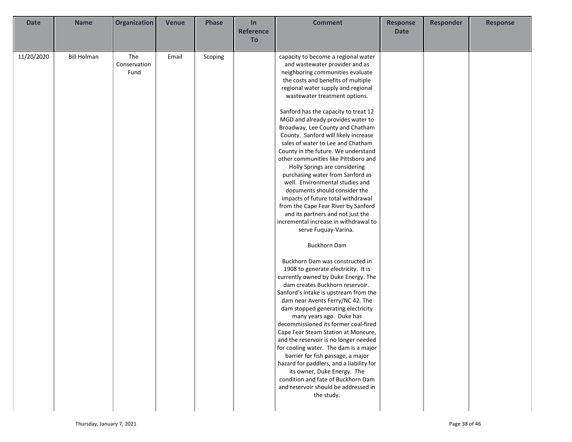| <b>Date</b> | <b>Name</b>        | Organization | <b>Venue</b> | <b>Phase</b> | In                     | <b>Comment</b>                                                             | <b>Response</b> | <b>Responder</b> | <b>Response</b> |
|-------------|--------------------|--------------|--------------|--------------|------------------------|----------------------------------------------------------------------------|-----------------|------------------|-----------------|
|             |                    |              |              |              | <b>Reference</b><br>To |                                                                            | <b>Date</b>     |                  |                 |
|             |                    |              |              |              |                        |                                                                            |                 |                  |                 |
| 11/20/2020  | <b>Bill Holman</b> | The          | Email        | Scoping      |                        | capacity to become a regional water                                        |                 |                  |                 |
|             |                    | Conservation |              |              |                        | and wastewater provider and as                                             |                 |                  |                 |
|             |                    | Fund         |              |              |                        | neighboring communities evaluate                                           |                 |                  |                 |
|             |                    |              |              |              |                        | the costs and benefits of multiple                                         |                 |                  |                 |
|             |                    |              |              |              |                        | regional water supply and regional                                         |                 |                  |                 |
|             |                    |              |              |              |                        | wastewater treatment options.                                              |                 |                  |                 |
|             |                    |              |              |              |                        | Sanford has the capacity to treat 12                                       |                 |                  |                 |
|             |                    |              |              |              |                        | MGD and already provides water to                                          |                 |                  |                 |
|             |                    |              |              |              |                        | Broadway, Lee County and Chatham                                           |                 |                  |                 |
|             |                    |              |              |              |                        | County. Sanford will likely increase                                       |                 |                  |                 |
|             |                    |              |              |              |                        | sales of water to Lee and Chatham                                          |                 |                  |                 |
|             |                    |              |              |              |                        | County in the future. We understand                                        |                 |                  |                 |
|             |                    |              |              |              |                        | other communities like Pittsboro and                                       |                 |                  |                 |
|             |                    |              |              |              |                        | Holly Springs are considering                                              |                 |                  |                 |
|             |                    |              |              |              |                        | purchasing water from Sanford as                                           |                 |                  |                 |
|             |                    |              |              |              |                        | well. Environmental studies and                                            |                 |                  |                 |
|             |                    |              |              |              |                        | documents should consider the                                              |                 |                  |                 |
|             |                    |              |              |              |                        | impacts of future total withdrawal                                         |                 |                  |                 |
|             |                    |              |              |              |                        | from the Cape Fear River by Sanford                                        |                 |                  |                 |
|             |                    |              |              |              |                        | and its partners and not just the<br>incremental increase in withdrawal to |                 |                  |                 |
|             |                    |              |              |              |                        |                                                                            |                 |                  |                 |
|             |                    |              |              |              |                        | serve Fuquay-Varina.                                                       |                 |                  |                 |
|             |                    |              |              |              |                        | <b>Buckhorn Dam</b>                                                        |                 |                  |                 |
|             |                    |              |              |              |                        | Buckhorn Dam was constructed in                                            |                 |                  |                 |
|             |                    |              |              |              |                        | 1908 to generate electricity. It is                                        |                 |                  |                 |
|             |                    |              |              |              |                        | currently owned by Duke Energy. The                                        |                 |                  |                 |
|             |                    |              |              |              |                        | dam creates Buckhorn reservoir.                                            |                 |                  |                 |
|             |                    |              |              |              |                        | Sanford's intake is upstream from the                                      |                 |                  |                 |
|             |                    |              |              |              |                        | dam near Avents Ferry/NC 42. The                                           |                 |                  |                 |
|             |                    |              |              |              |                        | dam stopped generating electricity                                         |                 |                  |                 |
|             |                    |              |              |              |                        | many years ago. Duke has                                                   |                 |                  |                 |
|             |                    |              |              |              |                        | decommissioned its former coal-fired                                       |                 |                  |                 |
|             |                    |              |              |              |                        | Cape Fear Steam Station at Moncure,                                        |                 |                  |                 |
|             |                    |              |              |              |                        | and the reservoir is no longer needed                                      |                 |                  |                 |
|             |                    |              |              |              |                        | for cooling water. The dam is a major<br>barrier for fish passage, a major |                 |                  |                 |
|             |                    |              |              |              |                        | hazard for paddlers, and a liability for                                   |                 |                  |                 |
|             |                    |              |              |              |                        | its owner, Duke Energy. The                                                |                 |                  |                 |
|             |                    |              |              |              |                        | condition and fate of Buckhorn Dam                                         |                 |                  |                 |
|             |                    |              |              |              |                        | and reservoir should be addressed in                                       |                 |                  |                 |
|             |                    |              |              |              |                        | the study.                                                                 |                 |                  |                 |
|             |                    |              |              |              |                        |                                                                            |                 |                  |                 |
|             |                    |              |              |              |                        |                                                                            |                 |                  |                 |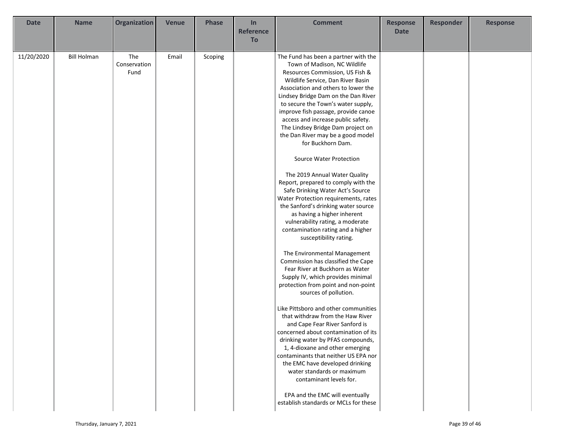| <b>Date</b> | <b>Name</b>        | Organization | <b>Venue</b> | <b>Phase</b> | In               | <b>Comment</b>                                                            | <b>Response</b> | <b>Responder</b> | <b>Response</b> |
|-------------|--------------------|--------------|--------------|--------------|------------------|---------------------------------------------------------------------------|-----------------|------------------|-----------------|
|             |                    |              |              |              | <b>Reference</b> |                                                                           | <b>Date</b>     |                  |                 |
|             |                    |              |              |              | To               |                                                                           |                 |                  |                 |
|             |                    |              |              |              |                  |                                                                           |                 |                  |                 |
| 11/20/2020  | <b>Bill Holman</b> | The          | Email        | Scoping      |                  | The Fund has been a partner with the                                      |                 |                  |                 |
|             |                    | Conservation |              |              |                  | Town of Madison, NC Wildlife                                              |                 |                  |                 |
|             |                    | Fund         |              |              |                  | Resources Commission, US Fish &                                           |                 |                  |                 |
|             |                    |              |              |              |                  | Wildlife Service, Dan River Basin                                         |                 |                  |                 |
|             |                    |              |              |              |                  | Association and others to lower the                                       |                 |                  |                 |
|             |                    |              |              |              |                  | Lindsey Bridge Dam on the Dan River                                       |                 |                  |                 |
|             |                    |              |              |              |                  | to secure the Town's water supply,                                        |                 |                  |                 |
|             |                    |              |              |              |                  | improve fish passage, provide canoe                                       |                 |                  |                 |
|             |                    |              |              |              |                  | access and increase public safety.                                        |                 |                  |                 |
|             |                    |              |              |              |                  | The Lindsey Bridge Dam project on                                         |                 |                  |                 |
|             |                    |              |              |              |                  | the Dan River may be a good model                                         |                 |                  |                 |
|             |                    |              |              |              |                  | for Buckhorn Dam.                                                         |                 |                  |                 |
|             |                    |              |              |              |                  | Source Water Protection                                                   |                 |                  |                 |
|             |                    |              |              |              |                  | The 2019 Annual Water Quality                                             |                 |                  |                 |
|             |                    |              |              |              |                  | Report, prepared to comply with the                                       |                 |                  |                 |
|             |                    |              |              |              |                  | Safe Drinking Water Act's Source                                          |                 |                  |                 |
|             |                    |              |              |              |                  | Water Protection requirements, rates                                      |                 |                  |                 |
|             |                    |              |              |              |                  | the Sanford's drinking water source                                       |                 |                  |                 |
|             |                    |              |              |              |                  | as having a higher inherent                                               |                 |                  |                 |
|             |                    |              |              |              |                  | vulnerability rating, a moderate                                          |                 |                  |                 |
|             |                    |              |              |              |                  | contamination rating and a higher                                         |                 |                  |                 |
|             |                    |              |              |              |                  | susceptibility rating.                                                    |                 |                  |                 |
|             |                    |              |              |              |                  |                                                                           |                 |                  |                 |
|             |                    |              |              |              |                  | The Environmental Management                                              |                 |                  |                 |
|             |                    |              |              |              |                  | Commission has classified the Cape                                        |                 |                  |                 |
|             |                    |              |              |              |                  | Fear River at Buckhorn as Water                                           |                 |                  |                 |
|             |                    |              |              |              |                  | Supply IV, which provides minimal                                         |                 |                  |                 |
|             |                    |              |              |              |                  | protection from point and non-point                                       |                 |                  |                 |
|             |                    |              |              |              |                  | sources of pollution.                                                     |                 |                  |                 |
|             |                    |              |              |              |                  |                                                                           |                 |                  |                 |
|             |                    |              |              |              |                  | Like Pittsboro and other communities                                      |                 |                  |                 |
|             |                    |              |              |              |                  | that withdraw from the Haw River                                          |                 |                  |                 |
|             |                    |              |              |              |                  | and Cape Fear River Sanford is                                            |                 |                  |                 |
|             |                    |              |              |              |                  | concerned about contamination of its<br>drinking water by PFAS compounds, |                 |                  |                 |
|             |                    |              |              |              |                  | 1, 4-dioxane and other emerging                                           |                 |                  |                 |
|             |                    |              |              |              |                  | contaminants that neither US EPA nor                                      |                 |                  |                 |
|             |                    |              |              |              |                  | the EMC have developed drinking                                           |                 |                  |                 |
|             |                    |              |              |              |                  | water standards or maximum                                                |                 |                  |                 |
|             |                    |              |              |              |                  | contaminant levels for.                                                   |                 |                  |                 |
|             |                    |              |              |              |                  |                                                                           |                 |                  |                 |
|             |                    |              |              |              |                  | EPA and the EMC will eventually                                           |                 |                  |                 |
|             |                    |              |              |              |                  | establish standards or MCLs for these                                     |                 |                  |                 |
|             |                    |              |              |              |                  |                                                                           |                 |                  |                 |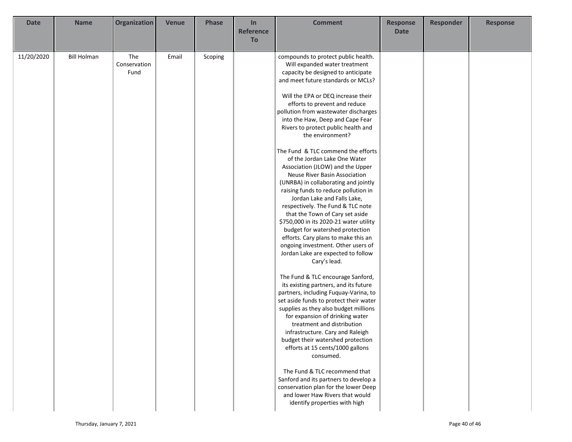| <b>Date</b> | <b>Name</b>        | <b>Organization</b>         | <b>Venue</b> | <b>Phase</b> | In               | <b>Comment</b>                                                                                                                                                                                                                                                                                                                                                                                                                                                                                                                                                                                                                                                                                                                                                                                                                                                                                                                                                                                                                                                                                                                                                                                                                                                       | <b>Response</b> | <b>Responder</b> | <b>Response</b> |
|-------------|--------------------|-----------------------------|--------------|--------------|------------------|----------------------------------------------------------------------------------------------------------------------------------------------------------------------------------------------------------------------------------------------------------------------------------------------------------------------------------------------------------------------------------------------------------------------------------------------------------------------------------------------------------------------------------------------------------------------------------------------------------------------------------------------------------------------------------------------------------------------------------------------------------------------------------------------------------------------------------------------------------------------------------------------------------------------------------------------------------------------------------------------------------------------------------------------------------------------------------------------------------------------------------------------------------------------------------------------------------------------------------------------------------------------|-----------------|------------------|-----------------|
|             |                    |                             |              |              | <b>Reference</b> |                                                                                                                                                                                                                                                                                                                                                                                                                                                                                                                                                                                                                                                                                                                                                                                                                                                                                                                                                                                                                                                                                                                                                                                                                                                                      | <b>Date</b>     |                  |                 |
|             |                    |                             |              |              | To               |                                                                                                                                                                                                                                                                                                                                                                                                                                                                                                                                                                                                                                                                                                                                                                                                                                                                                                                                                                                                                                                                                                                                                                                                                                                                      |                 |                  |                 |
| 11/20/2020  | <b>Bill Holman</b> | The<br>Conservation<br>Fund | Email        | Scoping      |                  | compounds to protect public health.<br>Will expanded water treatment<br>capacity be designed to anticipate<br>and meet future standards or MCLs?<br>Will the EPA or DEQ increase their<br>efforts to prevent and reduce<br>pollution from wastewater discharges<br>into the Haw, Deep and Cape Fear<br>Rivers to protect public health and<br>the environment?<br>The Fund & TLC commend the efforts<br>of the Jordan Lake One Water<br>Association (JLOW) and the Upper<br>Neuse River Basin Association<br>(UNRBA) in collaborating and jointly<br>raising funds to reduce pollution in<br>Jordan Lake and Falls Lake,<br>respectively. The Fund & TLC note<br>that the Town of Cary set aside<br>\$750,000 in its 2020-21 water utility<br>budget for watershed protection<br>efforts. Cary plans to make this an<br>ongoing investment. Other users of<br>Jordan Lake are expected to follow<br>Cary's lead.<br>The Fund & TLC encourage Sanford,<br>its existing partners, and its future<br>partners, including Fuquay-Varina, to<br>set aside funds to protect their water<br>supplies as they also budget millions<br>for expansion of drinking water<br>treatment and distribution<br>infrastructure. Cary and Raleigh<br>budget their watershed protection |                 |                  |                 |
|             |                    |                             |              |              |                  | efforts at 15 cents/1000 gallons<br>consumed.<br>The Fund & TLC recommend that                                                                                                                                                                                                                                                                                                                                                                                                                                                                                                                                                                                                                                                                                                                                                                                                                                                                                                                                                                                                                                                                                                                                                                                       |                 |                  |                 |
|             |                    |                             |              |              |                  | Sanford and its partners to develop a<br>conservation plan for the lower Deep<br>and lower Haw Rivers that would<br>identify properties with high                                                                                                                                                                                                                                                                                                                                                                                                                                                                                                                                                                                                                                                                                                                                                                                                                                                                                                                                                                                                                                                                                                                    |                 |                  |                 |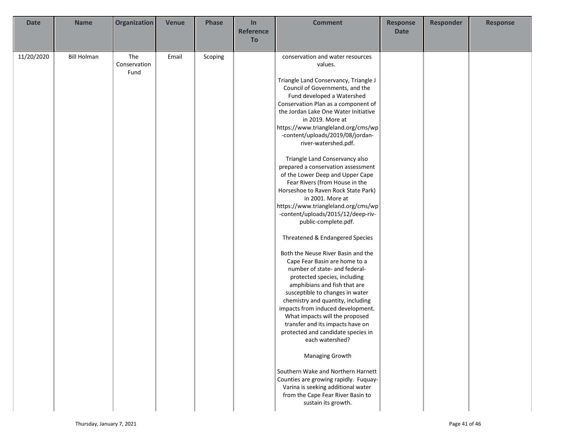| <b>Date</b> | <b>Name</b>        | Organization | <b>Venue</b> | <b>Phase</b> | In               | <b>Comment</b>                                                       | <b>Response</b> | <b>Responder</b> | <b>Response</b> |
|-------------|--------------------|--------------|--------------|--------------|------------------|----------------------------------------------------------------------|-----------------|------------------|-----------------|
|             |                    |              |              |              | <b>Reference</b> |                                                                      | <b>Date</b>     |                  |                 |
|             |                    |              |              |              | To               |                                                                      |                 |                  |                 |
|             |                    |              |              |              |                  |                                                                      |                 |                  |                 |
| 11/20/2020  | <b>Bill Holman</b> | The          | Email        | Scoping      |                  | conservation and water resources                                     |                 |                  |                 |
|             |                    | Conservation |              |              |                  | values.                                                              |                 |                  |                 |
|             |                    | Fund         |              |              |                  |                                                                      |                 |                  |                 |
|             |                    |              |              |              |                  | Triangle Land Conservancy, Triangle J                                |                 |                  |                 |
|             |                    |              |              |              |                  | Council of Governments, and the                                      |                 |                  |                 |
|             |                    |              |              |              |                  | Fund developed a Watershed                                           |                 |                  |                 |
|             |                    |              |              |              |                  | Conservation Plan as a component of                                  |                 |                  |                 |
|             |                    |              |              |              |                  | the Jordan Lake One Water Initiative                                 |                 |                  |                 |
|             |                    |              |              |              |                  | in 2019. More at<br>https://www.triangleland.org/cms/wp              |                 |                  |                 |
|             |                    |              |              |              |                  | -content/uploads/2019/08/jordan-                                     |                 |                  |                 |
|             |                    |              |              |              |                  | river-watershed.pdf.                                                 |                 |                  |                 |
|             |                    |              |              |              |                  |                                                                      |                 |                  |                 |
|             |                    |              |              |              |                  | Triangle Land Conservancy also                                       |                 |                  |                 |
|             |                    |              |              |              |                  | prepared a conservation assessment                                   |                 |                  |                 |
|             |                    |              |              |              |                  | of the Lower Deep and Upper Cape                                     |                 |                  |                 |
|             |                    |              |              |              |                  | Fear Rivers (from House in the                                       |                 |                  |                 |
|             |                    |              |              |              |                  | Horseshoe to Raven Rock State Park)                                  |                 |                  |                 |
|             |                    |              |              |              |                  | in 2001. More at                                                     |                 |                  |                 |
|             |                    |              |              |              |                  | https://www.triangleland.org/cms/wp                                  |                 |                  |                 |
|             |                    |              |              |              |                  | -content/uploads/2015/12/deep-riv-                                   |                 |                  |                 |
|             |                    |              |              |              |                  | public-complete.pdf.                                                 |                 |                  |                 |
|             |                    |              |              |              |                  |                                                                      |                 |                  |                 |
|             |                    |              |              |              |                  | Threatened & Endangered Species                                      |                 |                  |                 |
|             |                    |              |              |              |                  |                                                                      |                 |                  |                 |
|             |                    |              |              |              |                  | Both the Neuse River Basin and the                                   |                 |                  |                 |
|             |                    |              |              |              |                  | Cape Fear Basin are home to a                                        |                 |                  |                 |
|             |                    |              |              |              |                  | number of state- and federal-                                        |                 |                  |                 |
|             |                    |              |              |              |                  | protected species, including                                         |                 |                  |                 |
|             |                    |              |              |              |                  | amphibians and fish that are                                         |                 |                  |                 |
|             |                    |              |              |              |                  | susceptible to changes in water<br>chemistry and quantity, including |                 |                  |                 |
|             |                    |              |              |              |                  | impacts from induced development.                                    |                 |                  |                 |
|             |                    |              |              |              |                  | What impacts will the proposed                                       |                 |                  |                 |
|             |                    |              |              |              |                  | transfer and its impacts have on                                     |                 |                  |                 |
|             |                    |              |              |              |                  | protected and candidate species in                                   |                 |                  |                 |
|             |                    |              |              |              |                  | each watershed?                                                      |                 |                  |                 |
|             |                    |              |              |              |                  |                                                                      |                 |                  |                 |
|             |                    |              |              |              |                  | Managing Growth                                                      |                 |                  |                 |
|             |                    |              |              |              |                  |                                                                      |                 |                  |                 |
|             |                    |              |              |              |                  | Southern Wake and Northern Harnett                                   |                 |                  |                 |
|             |                    |              |              |              |                  | Counties are growing rapidly. Fuquay-                                |                 |                  |                 |
|             |                    |              |              |              |                  | Varina is seeking additional water                                   |                 |                  |                 |
|             |                    |              |              |              |                  | from the Cape Fear River Basin to                                    |                 |                  |                 |
|             |                    |              |              |              |                  | sustain its growth.                                                  |                 |                  |                 |
|             |                    |              |              |              |                  |                                                                      |                 |                  |                 |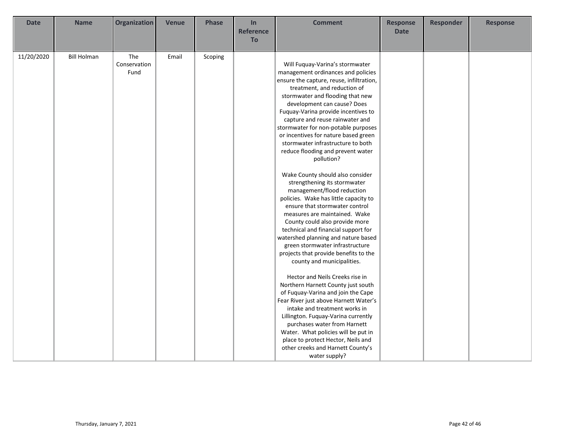| <b>Date</b> | <b>Name</b>        | <b>Organization</b>         | <b>Venue</b> | <b>Phase</b> | In<br><b>Reference</b><br>To | <b>Comment</b>                                                                                                                                                                                                                                                                                                                                                                                                                                                                                                                                                                                                                                                                                                                                                                                                                                                                                                                                                                                                                                                                                                                                                                                                                                                                                 | <b>Response</b><br><b>Date</b> | <b>Responder</b> | <b>Response</b> |
|-------------|--------------------|-----------------------------|--------------|--------------|------------------------------|------------------------------------------------------------------------------------------------------------------------------------------------------------------------------------------------------------------------------------------------------------------------------------------------------------------------------------------------------------------------------------------------------------------------------------------------------------------------------------------------------------------------------------------------------------------------------------------------------------------------------------------------------------------------------------------------------------------------------------------------------------------------------------------------------------------------------------------------------------------------------------------------------------------------------------------------------------------------------------------------------------------------------------------------------------------------------------------------------------------------------------------------------------------------------------------------------------------------------------------------------------------------------------------------|--------------------------------|------------------|-----------------|
| 11/20/2020  | <b>Bill Holman</b> | The<br>Conservation<br>Fund | Email        | Scoping      |                              | Will Fuquay-Varina's stormwater<br>management ordinances and policies<br>ensure the capture, reuse, infiltration,<br>treatment, and reduction of<br>stormwater and flooding that new<br>development can cause? Does<br>Fuquay-Varina provide incentives to<br>capture and reuse rainwater and<br>stormwater for non-potable purposes<br>or incentives for nature based green<br>stormwater infrastructure to both<br>reduce flooding and prevent water<br>pollution?<br>Wake County should also consider<br>strengthening its stormwater<br>management/flood reduction<br>policies. Wake has little capacity to<br>ensure that stormwater control<br>measures are maintained. Wake<br>County could also provide more<br>technical and financial support for<br>watershed planning and nature based<br>green stormwater infrastructure<br>projects that provide benefits to the<br>county and municipalities.<br>Hector and Neils Creeks rise in<br>Northern Harnett County just south<br>of Fuquay-Varina and join the Cape<br>Fear River just above Harnett Water's<br>intake and treatment works in<br>Lillington. Fuquay-Varina currently<br>purchases water from Harnett<br>Water. What policies will be put in<br>place to protect Hector, Neils and<br>other creeks and Harnett County's |                                |                  |                 |
|             |                    |                             |              |              |                              | water supply?                                                                                                                                                                                                                                                                                                                                                                                                                                                                                                                                                                                                                                                                                                                                                                                                                                                                                                                                                                                                                                                                                                                                                                                                                                                                                  |                                |                  |                 |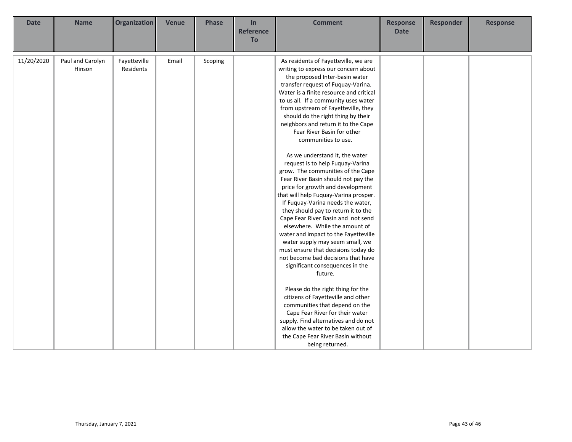| <b>Date</b> | <b>Name</b>                | <b>Organization</b>       | <b>Venue</b> | <b>Phase</b> | In<br><b>Reference</b><br>To | <b>Comment</b>                                                                                                                                                                                                                                                                                                                                                                                                                                                                                                                                                                                                                                                                                                                                                                                                                                                                                                                                                                                                                                                                                                                                                                                                                                                               | <b>Response</b><br><b>Date</b> | <b>Responder</b> | <b>Response</b> |
|-------------|----------------------------|---------------------------|--------------|--------------|------------------------------|------------------------------------------------------------------------------------------------------------------------------------------------------------------------------------------------------------------------------------------------------------------------------------------------------------------------------------------------------------------------------------------------------------------------------------------------------------------------------------------------------------------------------------------------------------------------------------------------------------------------------------------------------------------------------------------------------------------------------------------------------------------------------------------------------------------------------------------------------------------------------------------------------------------------------------------------------------------------------------------------------------------------------------------------------------------------------------------------------------------------------------------------------------------------------------------------------------------------------------------------------------------------------|--------------------------------|------------------|-----------------|
| 11/20/2020  | Paul and Carolyn<br>Hinson | Fayetteville<br>Residents | Email        | Scoping      |                              | As residents of Fayetteville, we are<br>writing to express our concern about<br>the proposed Inter-basin water<br>transfer request of Fuquay-Varina.<br>Water is a finite resource and critical<br>to us all. If a community uses water<br>from upstream of Fayetteville, they<br>should do the right thing by their<br>neighbors and return it to the Cape<br>Fear River Basin for other<br>communities to use.<br>As we understand it, the water<br>request is to help Fuquay-Varina<br>grow. The communities of the Cape<br>Fear River Basin should not pay the<br>price for growth and development<br>that will help Fuquay-Varina prosper.<br>If Fuquay-Varina needs the water,<br>they should pay to return it to the<br>Cape Fear River Basin and not send<br>elsewhere. While the amount of<br>water and impact to the Fayetteville<br>water supply may seem small, we<br>must ensure that decisions today do<br>not become bad decisions that have<br>significant consequences in the<br>future.<br>Please do the right thing for the<br>citizens of Fayetteville and other<br>communities that depend on the<br>Cape Fear River for their water<br>supply. Find alternatives and do not<br>allow the water to be taken out of<br>the Cape Fear River Basin without |                                |                  |                 |
|             |                            |                           |              |              |                              | being returned.                                                                                                                                                                                                                                                                                                                                                                                                                                                                                                                                                                                                                                                                                                                                                                                                                                                                                                                                                                                                                                                                                                                                                                                                                                                              |                                |                  |                 |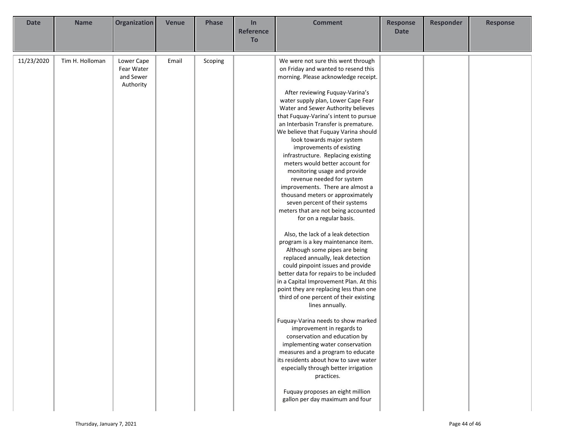| <b>Date</b> | <b>Name</b>     | Organization                                       | <b>Venue</b> | <b>Phase</b> | In<br><b>Reference</b> | <b>Comment</b>                                                                                                                                                                                                                                                                                                                                                                                                                                                                                                                                                                                                                                                                                                                                                                                                                                                                                                                                                                                                                                                                                                                                                                                                                                                                                                                                                                                                                                                           | <b>Response</b><br><b>Date</b> | <b>Responder</b> | <b>Response</b> |
|-------------|-----------------|----------------------------------------------------|--------------|--------------|------------------------|--------------------------------------------------------------------------------------------------------------------------------------------------------------------------------------------------------------------------------------------------------------------------------------------------------------------------------------------------------------------------------------------------------------------------------------------------------------------------------------------------------------------------------------------------------------------------------------------------------------------------------------------------------------------------------------------------------------------------------------------------------------------------------------------------------------------------------------------------------------------------------------------------------------------------------------------------------------------------------------------------------------------------------------------------------------------------------------------------------------------------------------------------------------------------------------------------------------------------------------------------------------------------------------------------------------------------------------------------------------------------------------------------------------------------------------------------------------------------|--------------------------------|------------------|-----------------|
|             |                 |                                                    |              |              | To                     |                                                                                                                                                                                                                                                                                                                                                                                                                                                                                                                                                                                                                                                                                                                                                                                                                                                                                                                                                                                                                                                                                                                                                                                                                                                                                                                                                                                                                                                                          |                                |                  |                 |
| 11/23/2020  | Tim H. Holloman | Lower Cape<br>Fear Water<br>and Sewer<br>Authority | Email        | Scoping      |                        | We were not sure this went through<br>on Friday and wanted to resend this<br>morning. Please acknowledge receipt.<br>After reviewing Fuquay-Varina's<br>water supply plan, Lower Cape Fear<br>Water and Sewer Authority believes<br>that Fuquay-Varina's intent to pursue<br>an Interbasin Transfer is premature.<br>We believe that Fuquay Varina should<br>look towards major system<br>improvements of existing<br>infrastructure. Replacing existing<br>meters would better account for<br>monitoring usage and provide<br>revenue needed for system<br>improvements. There are almost a<br>thousand meters or approximately<br>seven percent of their systems<br>meters that are not being accounted<br>for on a regular basis.<br>Also, the lack of a leak detection<br>program is a key maintenance item.<br>Although some pipes are being<br>replaced annually, leak detection<br>could pinpoint issues and provide<br>better data for repairs to be included<br>in a Capital Improvement Plan. At this<br>point they are replacing less than one<br>third of one percent of their existing<br>lines annually.<br>Fuquay-Varina needs to show marked<br>improvement in regards to<br>conservation and education by<br>implementing water conservation<br>measures and a program to educate<br>its residents about how to save water<br>especially through better irrigation<br>practices.<br>Fuquay proposes an eight million<br>gallon per day maximum and four |                                |                  |                 |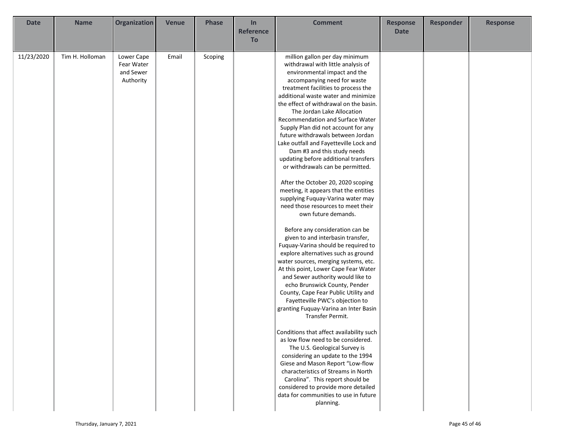| <b>Date</b> | <b>Name</b>     | Organization | <b>Venue</b> | <b>Phase</b> | In               | <b>Comment</b>                           | <b>Response</b> | <b>Responder</b> | <b>Response</b> |
|-------------|-----------------|--------------|--------------|--------------|------------------|------------------------------------------|-----------------|------------------|-----------------|
|             |                 |              |              |              | <b>Reference</b> |                                          | <b>Date</b>     |                  |                 |
|             |                 |              |              |              | To               |                                          |                 |                  |                 |
|             |                 |              |              |              |                  |                                          |                 |                  |                 |
| 11/23/2020  | Tim H. Holloman | Lower Cape   | Email        | Scoping      |                  | million gallon per day minimum           |                 |                  |                 |
|             |                 | Fear Water   |              |              |                  | withdrawal with little analysis of       |                 |                  |                 |
|             |                 | and Sewer    |              |              |                  | environmental impact and the             |                 |                  |                 |
|             |                 | Authority    |              |              |                  | accompanying need for waste              |                 |                  |                 |
|             |                 |              |              |              |                  | treatment facilities to process the      |                 |                  |                 |
|             |                 |              |              |              |                  | additional waste water and minimize      |                 |                  |                 |
|             |                 |              |              |              |                  | the effect of withdrawal on the basin.   |                 |                  |                 |
|             |                 |              |              |              |                  | The Jordan Lake Allocation               |                 |                  |                 |
|             |                 |              |              |              |                  | <b>Recommendation and Surface Water</b>  |                 |                  |                 |
|             |                 |              |              |              |                  | Supply Plan did not account for any      |                 |                  |                 |
|             |                 |              |              |              |                  | future withdrawals between Jordan        |                 |                  |                 |
|             |                 |              |              |              |                  | Lake outfall and Fayetteville Lock and   |                 |                  |                 |
|             |                 |              |              |              |                  | Dam #3 and this study needs              |                 |                  |                 |
|             |                 |              |              |              |                  | updating before additional transfers     |                 |                  |                 |
|             |                 |              |              |              |                  | or withdrawals can be permitted.         |                 |                  |                 |
|             |                 |              |              |              |                  | After the October 20, 2020 scoping       |                 |                  |                 |
|             |                 |              |              |              |                  | meeting, it appears that the entities    |                 |                  |                 |
|             |                 |              |              |              |                  | supplying Fuquay-Varina water may        |                 |                  |                 |
|             |                 |              |              |              |                  | need those resources to meet their       |                 |                  |                 |
|             |                 |              |              |              |                  | own future demands.                      |                 |                  |                 |
|             |                 |              |              |              |                  |                                          |                 |                  |                 |
|             |                 |              |              |              |                  | Before any consideration can be          |                 |                  |                 |
|             |                 |              |              |              |                  | given to and interbasin transfer,        |                 |                  |                 |
|             |                 |              |              |              |                  | Fuquay-Varina should be required to      |                 |                  |                 |
|             |                 |              |              |              |                  | explore alternatives such as ground      |                 |                  |                 |
|             |                 |              |              |              |                  | water sources, merging systems, etc.     |                 |                  |                 |
|             |                 |              |              |              |                  | At this point, Lower Cape Fear Water     |                 |                  |                 |
|             |                 |              |              |              |                  | and Sewer authority would like to        |                 |                  |                 |
|             |                 |              |              |              |                  | echo Brunswick County, Pender            |                 |                  |                 |
|             |                 |              |              |              |                  | County, Cape Fear Public Utility and     |                 |                  |                 |
|             |                 |              |              |              |                  | Fayetteville PWC's objection to          |                 |                  |                 |
|             |                 |              |              |              |                  | granting Fuquay-Varina an Inter Basin    |                 |                  |                 |
|             |                 |              |              |              |                  | Transfer Permit.                         |                 |                  |                 |
|             |                 |              |              |              |                  |                                          |                 |                  |                 |
|             |                 |              |              |              |                  | Conditions that affect availability such |                 |                  |                 |
|             |                 |              |              |              |                  | as low flow need to be considered.       |                 |                  |                 |
|             |                 |              |              |              |                  | The U.S. Geological Survey is            |                 |                  |                 |
|             |                 |              |              |              |                  | considering an update to the 1994        |                 |                  |                 |
|             |                 |              |              |              |                  | Giese and Mason Report "Low-flow         |                 |                  |                 |
|             |                 |              |              |              |                  | characteristics of Streams in North      |                 |                  |                 |
|             |                 |              |              |              |                  | Carolina". This report should be         |                 |                  |                 |
|             |                 |              |              |              |                  | considered to provide more detailed      |                 |                  |                 |
|             |                 |              |              |              |                  | data for communities to use in future    |                 |                  |                 |
|             |                 |              |              |              |                  | planning.                                |                 |                  |                 |